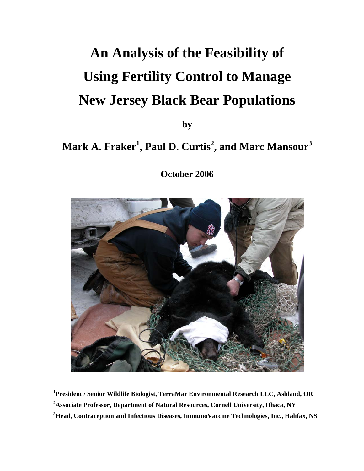# **An Analysis of the Feasibility of Using Fertility Control to Manage New Jersey Black Bear Populations**

**by** 

# $\mathbf{Mark\ A.}$  Fraker $^1$ , Paul D. Curtis $^2$ , and Marc Mansour $^3$

**October 2006** 



**1 President / Senior Wildlife Biologist, TerraMar Environmental Research LLC, Ashland, OR 2 Associate Professor, Department of Natural Resources, Cornell University, Ithaca, NY 3 Head, Contraception and Infectious Diseases, ImmunoVaccine Technologies, Inc., Halifax, NS**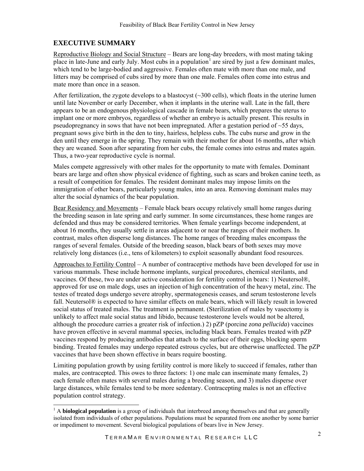#### **EXECUTIVE SUMMARY**

l

Reproductive Biology and Social Structure – Bears are long-day breeders, with most mating taking place in late-June and early July. Most cubs in a population<sup>[1](#page-1-0)</sup> are sired by just a few dominant males, which tend to be large-bodied and aggressive. Females often mate with more than one male, and litters may be comprised of cubs sired by more than one male. Females often come into estrus and mate more than once in a season.

After fertilization, the zygote develops to a blastocyst  $(\sim 300 \text{ cells})$ , which floats in the uterine lumen until late November or early December, when it implants in the uterine wall. Late in the fall, there appears to be an endogenous physiological cascade in female bears, which prepares the uterus to implant one or more embryos, regardless of whether an embryo is actually present. This results in pseudopregnancy in sows that have not been impregnated. After a gestation period of  $\sim$ 55 days, pregnant sows give birth in the den to tiny, hairless, helpless cubs. The cubs nurse and grow in the den until they emerge in the spring. They remain with their mother for about 16 months, after which they are weaned. Soon after separating from her cubs, the female comes into estrus and mates again. Thus, a two-year reproductive cycle is normal.

Males compete aggressively with other males for the opportunity to mate with females. Dominant bears are large and often show physical evidence of fighting, such as scars and broken canine teeth, as a result of competition for females. The resident dominant males may impose limits on the immigration of other bears, particularly young males, into an area. Removing dominant males may alter the social dynamics of the bear population.

Bear Residency and Movements – Female black bears occupy relatively small home ranges during the breeding season in late spring and early summer. In some circumstances, these home ranges are defended and thus may be considered territories. When female yearlings become independent, at about 16 months, they usually settle in areas adjacent to or near the ranges of their mothers. In contrast, males often disperse long distances. The home ranges of breeding males encompass the ranges of several females. Outside of the breeding season, black bears of both sexes may move relatively long distances (i.e., tens of kilometers) to exploit seasonally abundant food resources.

Approaches to Fertility Control – A number of contraceptive methods have been developed for use in various mammals. These include hormone implants, surgical procedures, chemical sterilants, and vaccines. Of these, two are under active consideration for fertility control in bears: 1) Neutersol®, approved for use on male dogs, uses an injection of high concentration of the heavy metal, zinc. The testes of treated dogs undergo severe atrophy, spermatogenesis ceases, and serum testosterone levels fall. Neutersol® is expected to have similar effects on male bears, which will likely result in lowered social status of treated males. The treatment is permanent. (Sterilization of males by vasectomy is unlikely to affect male social status and libido, because testosterone levels would not be altered, although the procedure carries a greater risk of infection.) 2) pZP (porcine *zona pellucida*) vaccines have proven effective in several mammal species, including black bears. Females treated with pZP vaccines respond by producing antibodies that attach to the surface of their eggs, blocking sperm binding. Treated females may undergo repeated estrous cycles, but are otherwise unaffected. The pZP vaccines that have been shown effective in bears require boosting.

Limiting population growth by using fertility control is more likely to succeed if females, rather than males, are contracepted. This owes to three factors: 1) one male can inseminate many females, 2) each female often mates with several males during a breeding season, and 3) males disperse over large distances, while females tend to be more sedentary. Contracepting males is not an effective population control strategy.

<span id="page-1-0"></span><sup>&</sup>lt;sup>1</sup> A **biological population** is a group of individuals that interbreed among themselves and that are generally isolated from individuals of other populations. Populations must be separated from one another by some barrier or impediment to movement. Several biological populations of bears live in New Jersey.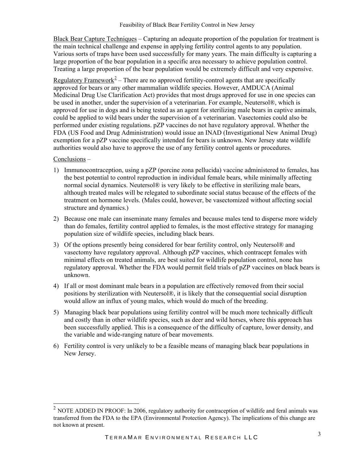Black Bear Capture Techniques – Capturing an adequate proportion of the population for treatment is the main technical challenge and expense in applying fertility control agents to any population. Various sorts of traps have been used successfully for many years. The main difficulty is capturing a large proportion of the bear population in a specific area necessary to achieve population control. Treating a large proportion of the bear population would be extremely difficult and very expensive.

Regulatory Framework<sup>[2](#page-2-0)</sup> – There are no approved fertility-control agents that are specifically approved for bears or any other mammalian wildlife species. However, AMDUCA (Animal Medicinal Drug Use Clarification Act) provides that most drugs approved for use in one species can be used in another, under the supervision of a veterinarian. For example, Neutersol®, which is approved for use in dogs and is being tested as an agent for sterilizing male bears in captive animals, could be applied to wild bears under the supervision of a veterinarian. Vasectomies could also be performed under existing regulations. pZP vaccines do not have regulatory approval. Whether the FDA (US Food and Drug Administration) would issue an INAD (Investigational New Animal Drug) exemption for a pZP vaccine specifically intended for bears is unknown. New Jersey state wildlife authorities would also have to approve the use of any fertility control agents or procedures.

#### Conclusions –

l

- 1) Immunocontraception, using a pZP (porcine zona pellucida) vaccine administered to females, has the best potential to control reproduction in individual female bears, while minimally affecting normal social dynamics. Neutersol® is very likely to be effective in sterilizing male bears, although treated males will be relegated to subordinate social status because of the effects of the treatment on hormone levels. (Males could, however, be vasectomized without affecting social structure and dynamics.)
- 2) Because one male can inseminate many females and because males tend to disperse more widely than do females, fertility control applied to females, is the most effective strategy for managing population size of wildlife species, including black bears.
- 3) Of the options presently being considered for bear fertility control, only Neutersol® and vasectomy have regulatory approval. Although pZP vaccines, which contracept females with minimal effects on treated animals, are best suited for wildlife population control, none has regulatory approval. Whether the FDA would permit field trials of pZP vaccines on black bears is unknown.
- 4) If all or most dominant male bears in a population are effectively removed from their social positions by sterilization with Neutersol®, it is likely that the consequential social disruption would allow an influx of young males, which would do much of the breeding.
- 5) Managing black bear populations using fertility control will be much more technically difficult and costly than in other wildlife species, such as deer and wild horses, where this approach has been successfully applied. This is a consequence of the difficulty of capture, lower density, and the variable and wide-ranging nature of bear movements.
- 6) Fertility control is very unlikely to be a feasible means of managing black bear populations in New Jersey.

<span id="page-2-0"></span> $2$  NOTE ADDED IN PROOF: In 2006, regulatory authority for contraception of wildlife and feral animals was transferred from the FDA to the EPA (Environmental Protection Agency). The implications of this change are not known at present.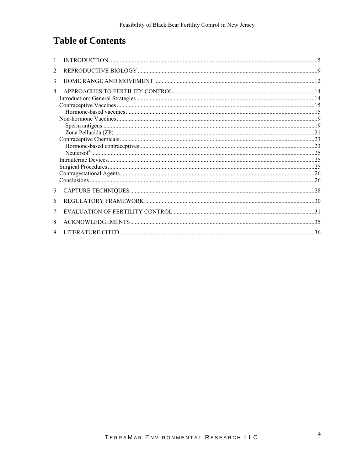# **Table of Contents**

| $\mathfrak{D}$ |  |
|----------------|--|
| 3              |  |
| $\overline{4}$ |  |
|                |  |
|                |  |
|                |  |
|                |  |
|                |  |
|                |  |
|                |  |
|                |  |
|                |  |
|                |  |
|                |  |
|                |  |
|                |  |
| 5 <sup>1</sup> |  |
| 6              |  |
| 7              |  |
| 8              |  |
| 9              |  |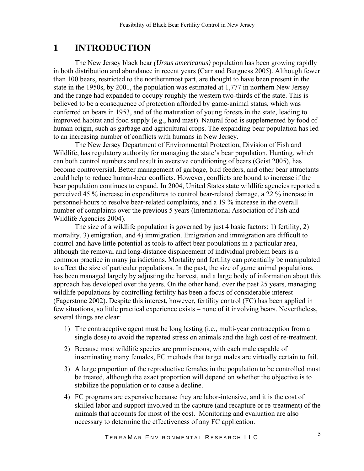# <span id="page-4-0"></span>**1 INTRODUCTION**

 The New Jersey black bear *(Ursus americanus)* population has been growing rapidly in both distribution and abundance in recent years (Carr and Burguess 2005). Although fewer than 100 bears, restricted to the northernmost part, are thought to have been present in the state in the 1950s, by 2001, the population was estimated at 1,777 in northern New Jersey and the range had expanded to occupy roughly the western two-thirds of the state. This is believed to be a consequence of protection afforded by game-animal status, which was conferred on bears in 1953, and of the maturation of young forests in the state, leading to improved habitat and food supply (e.g., hard mast). Natural food is supplemented by food of human origin, such as garbage and agricultural crops. The expanding bear population has led to an increasing number of conflicts with humans in New Jersey.

The New Jersey Department of Environmental Protection, Division of Fish and Wildlife, has regulatory authority for managing the state's bear population. Hunting, which can both control numbers and result in aversive conditioning of bears (Geist 2005), has become controversial. Better management of garbage, bird feeders, and other bear attractants could help to reduce human-bear conflicts. However, conflicts are bound to increase if the bear population continues to expand. In 2004, United States state wildlife agencies reported a perceived 45 % increase in expenditures to control bear-related damage, a 22 % increase in personnel-hours to resolve bear-related complaints, and a 19 % increase in the overall number of complaints over the previous 5 years (International Association of Fish and Wildlife Agencies 2004).

 The size of a wildlife population is governed by just 4 basic factors: 1) fertility, 2) mortality, 3) emigration, and 4) immigration. Emigration and immigration are difficult to control and have little potential as tools to affect bear populations in a particular area, although the removal and long-distance displacement of individual problem bears is a common practice in many jurisdictions. Mortality and fertility can potentially be manipulated to affect the size of particular populations. In the past, the size of game animal populations, has been managed largely by adjusting the harvest, and a large body of information about this approach has developed over the years. On the other hand, over the past 25 years, managing wildlife populations by controlling fertility has been a focus of considerable interest (Fagerstone 2002). Despite this interest, however, fertility control (FC) has been applied in few situations, so little practical experience exists – none of it involving bears. Nevertheless, several things are clear:

- 1) The contraceptive agent must be long lasting (i.e., multi-year contraception from a single dose) to avoid the repeated stress on animals and the high cost of re-treatment.
- 2) Because most wildlife species are promiscuous, with each male capable of inseminating many females, FC methods that target males are virtually certain to fail.
- 3) A large proportion of the reproductive females in the population to be controlled must be treated, although the exact proportion will depend on whether the objective is to stabilize the population or to cause a decline.
- 4) FC programs are expensive because they are labor-intensive, and it is the cost of skilled labor and support involved in the capture (and recapture or re-treatment) of the animals that accounts for most of the cost. Monitoring and evaluation are also necessary to determine the effectiveness of any FC application.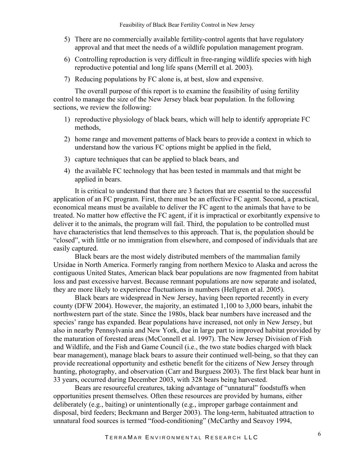- 5) There are no commercially available fertility-control agents that have regulatory approval and that meet the needs of a wildlife population management program.
- 6) Controlling reproduction is very difficult in free-ranging wildlife species with high reproductive potential and long life spans (Merrill et al. 2003).
- 7) Reducing populations by FC alone is, at best, slow and expensive.

 The overall purpose of this report is to examine the feasibility of using fertility control to manage the size of the New Jersey black bear population. In the following sections, we review the following:

- 1) reproductive physiology of black bears, which will help to identify appropriate FC methods,
- 2) home range and movement patterns of black bears to provide a context in which to understand how the various FC options might be applied in the field,
- 3) capture techniques that can be applied to black bears, and
- 4) the available FC technology that has been tested in mammals and that might be applied in bears.

It is critical to understand that there are 3 factors that are essential to the successful application of an FC program. First, there must be an effective FC agent. Second, a practical, economical means must be available to deliver the FC agent to the animals that have to be treated. No matter how effective the FC agent, if it is impractical or exorbitantly expensive to deliver it to the animals, the program will fail. Third, the population to be controlled must have characteristics that lend themselves to this approach. That is, the population should be "closed", with little or no immigration from elsewhere, and composed of individuals that are easily captured.

Black bears are the most widely distributed members of the mammalian family Ursidae in North America. Formerly ranging from northern Mexico to Alaska and across the contiguous United States, American black bear populations are now fragmented from habitat loss and past excessive harvest. Because remnant populations are now separate and isolated, they are more likely to experience fluctuations in numbers (Hellgren et al. 2005).

Black bears are widespread in New Jersey, having been reported recently in every county (DFW 2004). However, the majority, an estimated 1,100 to 3,000 bears, inhabit the northwestern part of the state. Since the 1980s, black bear numbers have increased and the species' range has expanded. Bear populations have increased, not only in New Jersey, but also in nearby Pennsylvania and New York, due in large part to improved habitat provided by the maturation of forested areas (McConnell et al. 1997). The New Jersey Division of Fish and Wildlife, and the Fish and Game Council (i.e., the two state bodies charged with black bear management), manage black bears to assure their continued well-being, so that they can provide recreational opportunity and esthetic benefit for the citizens of New Jersey through hunting, photography, and observation (Carr and Burguess 2003). The first black bear hunt in 33 years, occurred during December 2003, with 328 bears being harvested.

Bears are resourceful creatures, taking advantage of "unnatural" foodstuffs when opportunities present themselves. Often these resources are provided by humans, either deliberately (e.g., baiting) or unintentionally (e.g., improper garbage containment and disposal, bird feeders; Beckmann and Berger 2003). The long-term, habituated attraction to unnatural food sources is termed "food-conditioning" (McCarthy and Seavoy 1994,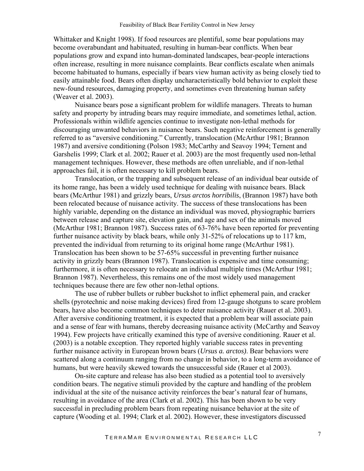Whittaker and Knight 1998). If food resources are plentiful, some bear populations may become overabundant and habituated, resulting in human-bear conflicts. When bear populations grow and expand into human-dominated landscapes, bear-people interactions often increase, resulting in more nuisance complaints. Bear conflicts escalate when animals become habituated to humans, especially if bears view human activity as being closely tied to easily attainable food. Bears often display uncharacteristically bold behavior to exploit these new-found resources, damaging property, and sometimes even threatening human safety (Weaver et al. 2003).

Nuisance bears pose a significant problem for wildlife managers. Threats to human safety and property by intruding bears may require immediate, and sometimes lethal, action. Professionals within wildlife agencies continue to investigate non-lethal methods for discouraging unwanted behaviors in nuisance bears. Such negative reinforcement is generally referred to as "aversive conditioning." Currently, translocation (McArthur 1981; Brannon 1987) and aversive conditioning (Polson 1983; McCarthy and Seavoy 1994; Ternent and Garshelis 1999; Clark et al. 2002; Rauer et al. 2003) are the most frequently used non-lethal management techniques. However, these methods are often unreliable, and if non-lethal approaches fail, it is often necessary to kill problem bears.

Translocation, or the trapping and subsequent release of an individual bear outside of its home range, has been a widely used technique for dealing with nuisance bears. Black bears (McArthur 1981) and grizzly bears, *Ursus arctos horribilis*, (Brannon 1987) have both been relocated because of nuisance activity. The success of these translocations has been highly variable, depending on the distance an individual was moved, physiographic barriers between release and capture site, elevation gain, and age and sex of the animals moved (McArthur 1981; Brannon 1987). Success rates of 63-76% have been reported for preventing further nuisance activity by black bears, while only 31-52% of relocations up to 117 km, prevented the individual from returning to its original home range (McArthur 1981). Translocation has been shown to be 57-65% successful in preventing further nuisance activity in grizzly bears (Brannon 1987). Translocation is expensive and time consuming; furthermore, it is often necessary to relocate an individual multiple times (McArthur 1981; Brannon 1987). Nevertheless, this remains one of the most widely used management techniques because there are few other non-lethal options.

The use of rubber bullets or rubber buckshot to inflict ephemeral pain, and cracker shells (pyrotechnic and noise making devices) fired from 12-gauge shotguns to scare problem bears, have also become common techniques to deter nuisance activity (Rauer et al. 2003). After aversive conditioning treatment, it is expected that a problem bear will associate pain and a sense of fear with humans, thereby decreasing nuisance activity (McCarthy and Seavoy 1994). Few projects have critically examined this type of aversive conditioning. Rauer et al. (2003) is a notable exception. They reported highly variable success rates in preventing further nuisance activity in European brown bears (*Ursus a. arctos)*. Bear behaviors were scattered along a continuum ranging from no change in behavior, to a long-term avoidance of humans, but were heavily skewed towards the unsuccessful side (Rauer et al 2003).

On-site capture and release has also been studied as a potential tool to aversively condition bears. The negative stimuli provided by the capture and handling of the problem individual at the site of the nuisance activity reinforces the bear's natural fear of humans, resulting in avoidance of the area (Clark et al. 2002). This has been shown to be very successful in precluding problem bears from repeating nuisance behavior at the site of capture (Wooding et al. 1994; Clark et al. 2002). However, these investigators discussed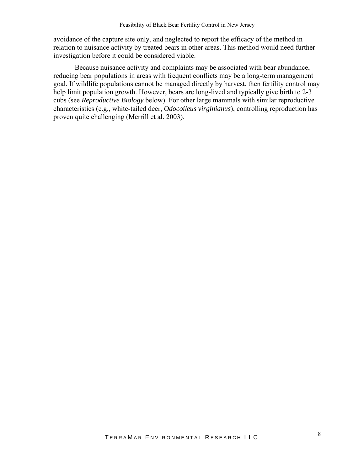avoidance of the capture site only, and neglected to report the efficacy of the method in relation to nuisance activity by treated bears in other areas. This method would need further investigation before it could be considered viable.

Because nuisance activity and complaints may be associated with bear abundance, reducing bear populations in areas with frequent conflicts may be a long-term management goal. If wildlife populations cannot be managed directly by harvest, then fertility control may help limit population growth. However, bears are long-lived and typically give birth to 2-3 cubs (see *Reproductive Biology* below). For other large mammals with similar reproductive characteristics (e.g., white-tailed deer, *Odocoileus virginianus*), controlling reproduction has proven quite challenging (Merrill et al. 2003).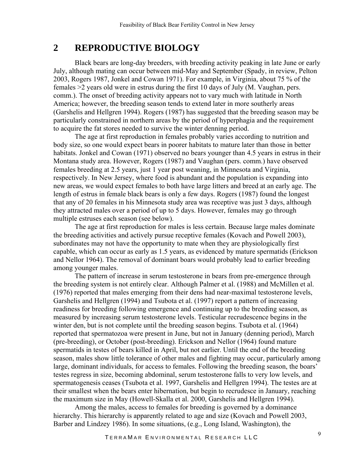# <span id="page-8-0"></span>**2 REPRODUCTIVE BIOLOGY**

 Black bears are long-day breeders, with breeding activity peaking in late June or early July, although mating can occur between mid-May and September (Spady, in review, Pelton 2003, Rogers 1987, Jonkel and Cowan 1971). For example, in Virginia, about 75 % of the females >2 years old were in estrus during the first 10 days of July (M. Vaughan, pers. comm.). The onset of breeding activity appears not to vary much with latitude in North America; however, the breeding season tends to extend later in more southerly areas (Garshelis and Hellgren 1994). Rogers (1987) has suggested that the breeding season may be particularly constrained in northern areas by the period of hyperphagia and the requirement to acquire the fat stores needed to survive the winter denning period.

 The age at first reproduction in females probably varies according to nutrition and body size, so one would expect bears in poorer habitats to mature later than those in better habitats. Jonkel and Cowan (1971) observed no bears younger than 4.5 years in estrus in their Montana study area. However, Rogers (1987) and Vaughan (pers. comm.) have observed females breeding at 2.5 years, just 1 year post weaning, in Minnesota and Virginia, respectively. In New Jersey, where food is abundant and the population is expanding into new areas, we would expect females to both have large litters and breed at an early age. The length of estrus in female black bears is only a few days. Rogers (1987) found the longest that any of 20 females in his Minnesota study area was receptive was just 3 days, although they attracted males over a period of up to 5 days. However, females may go through multiple estruses each season (see below).

The age at first reproduction for males is less certain. Because large males dominate the breeding activities and actively pursue receptive females (Kovach and Powell 2003), subordinates may not have the opportunity to mate when they are physiologically first capable, which can occur as early as 1.5 years, as evidenced by mature spermatids (Erickson and Nellor 1964). The removal of dominant boars would probably lead to earlier breeding among younger males.

 The pattern of increase in serum testosterone in bears from pre-emergence through the breeding system is not entirely clear. Although Palmer et al. (1988) and McMillen et al. (1976) reported that males emerging from their dens had near-maximal testosterone levels, Garshelis and Hellgren (1994) and Tsubota et al. (1997) report a pattern of increasing readiness for breeding following emergence and continuing up to the breeding season, as measured by increasing serum testosterone levels. Testicular recrudescence begins in the winter den, but is not complete until the breeding season begins. Tsubota et al. (1964) reported that spermatozoa were present in June, but not in January (denning period), March (pre-breeding), or October (post-breeding). Erickson and Nellor (1964) found mature spermatids in testes of bears killed in April, but not earlier. Until the end of the breeding season, males show little tolerance of other males and fighting may occur, particularly among large, dominant individuals, for access to females. Following the breeding season, the boars' testes regress in size, becoming abdominal, serum testosterone falls to very low levels, and spermatogenesis ceases (Tsubota et al. 1997, Garshelis and Hellgren 1994). The testes are at their smallest when the bears enter hibernation, but begin to recrudesce in January, reaching the maximum size in May (Howell-Skalla et al. 2000, Garshelis and Hellgren 1994).

Among the males, access to females for breeding is governed by a dominance hierarchy. This hierarchy is apparently related to age and size (Kovach and Powell 2003, Barber and Lindzey 1986). In some situations, (e.g., Long Island, Washington), the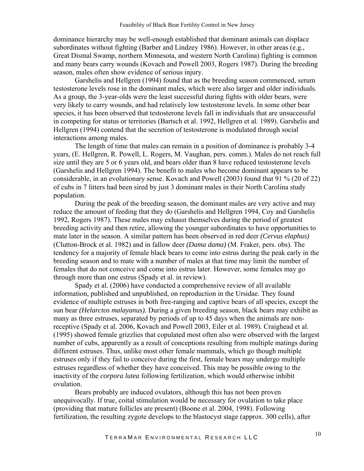dominance hierarchy may be well-enough established that dominant animals can displace subordinates without fighting (Barber and Lindzey 1986). However, in other areas (e.g., Great Dismal Swamp, northern Minnesota, and western North Carolina) fighting is common and many bears carry wounds (Kovach and Powell 2003, Rogers 1987). During the breeding season, males often show evidence of serious injury.

Garshelis and Hellgren (1994) found that as the breeding season commenced, serum testosterone levels rose in the dominant males, which were also larger and older individuals. As a group, the 3-year-olds were the least successful during fights with older bears, were very likely to carry wounds, and had relatively low testosterone levels. In some other bear species, it has been observed that testosterone levels fall in individuals that are unsuccessful in competing for status or territories (Bartsch et al. 1992, Hellgren et al. 1989). Garshelis and Hellgren (1994) contend that the secretion of testosterone is modulated through social interactions among males.

The length of time that males can remain in a position of dominance is probably 3-4 years, (E. Hellgren, R. Powell, L. Rogers, M. Vaughan, pers. comm.). Males do not reach full size until they are 5 or 6 years old, and bears older than 8 have reduced testosterone levels (Garshelis and Hellgren 1994). The benefit to males who become dominant appears to be considerable, in an evolutionary sense. Kovach and Powell (2003) found that 91 % (20 of 22) of cubs in 7 litters had been sired by just 3 dominant males in their North Carolina study population.

During the peak of the breeding season, the dominant males are very active and may reduce the amount of feeding that they do (Garshelis and Hellgren 1994, Coy and Garshelis 1992, Rogers 1987). These males may exhaust themselves during the period of greatest breeding activity and then retire, allowing the younger subordinates to have opportunities to mate later in the season. A similar pattern has been observed in red deer *(Cervus elaphus)* (Clutton-Brock et al. 1982) and in fallow deer *(Dama dama)* (M. Fraker, pers. obs). The tendency for a majority of female black bears to come into estrus during the peak early in the breeding season and to mate with a number of males at that time may limit the number of females that do not conceive and come into estrus later. However, some females may go through more than one estrus (Spady et al. in review).

Spady et al. (2006) have conducted a comprehensive review of all available information, published and unpublished, on reproduction in the Ursidae. They found evidence of multiple estruses in both free-ranging and captive bears of all species, except the sun bear *(Helarctos malayanus).* During a given breeding season, black bears may exhibit as many as three estruses, separated by periods of up to 45 days when the animals are nonreceptive (Spady et al. 2006, Kovach and Powell 2003, Eiler et al. 1989). Craighead et al. (1995) showed female grizzlies that copulated most often also were observed with the largest number of cubs, apparently as a result of conceptions resulting from multiple matings during different estruses. Thus, unlike most other female mammals, which go though multiple estruses only if they fail to conceive during the first, female bears may undergo multiple estruses regardless of whether they have conceived. This may be possible owing to the inactivity of the *corpora lutea* following fertilization, which would otherwise inhibit ovulation.

Bears probably are induced ovulators, although this has not been proven unequivocally. If true, coital stimulation would be necessary for ovulation to take place (providing that mature follicles are present) (Boone et al. 2004, 1998). Following fertilization, the resulting zygote develops to the blastocyst stage (approx. 300 cells), after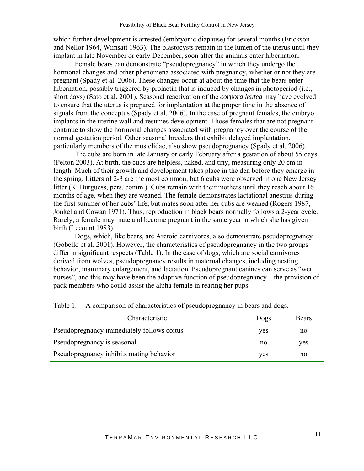which further development is arrested (embryonic diapause) for several months (Erickson and Nellor 1964, Wimsatt 1963). The blastocysts remain in the lumen of the uterus until they implant in late November or early December, soon after the animals enter hibernation.

Female bears can demonstrate "pseudopregnancy" in which they undergo the hormonal changes and other phenomena associated with pregnancy, whether or not they are pregnant (Spady et al. 2006). These changes occur at about the time that the bears enter hibernation, possibly triggered by prolactin that is induced by changes in photoperiod (i.e., short days) (Sato et al. 2001). Seasonal reactivation of the *corpora leutea* may have evolved to ensure that the uterus is prepared for implantation at the proper time in the absence of signals from the conceptus (Spady et al. 2006). In the case of pregnant females, the embryo implants in the uterine wall and resumes development. Those females that are not pregnant continue to show the hormonal changes associated with pregnancy over the course of the normal gestation period. Other seasonal breeders that exhibit delayed implantation, particularly members of the mustelidae, also show pseudopregnancy (Spady et al. 2006).

The cubs are born in late January or early February after a gestation of about 55 days (Pelton 2003). At birth, the cubs are helpless, naked, and tiny, measuring only 20 cm in length. Much of their growth and development takes place in the den before they emerge in the spring. Litters of 2-3 are the most common, but 6 cubs were observed in one New Jersey litter (K. Burguess, pers. comm.). Cubs remain with their mothers until they reach about 16 months of age, when they are weaned. The female demonstrates lactational anestrus during the first summer of her cubs' life, but mates soon after her cubs are weaned (Rogers 1987, Jonkel and Cowan 1971). Thus, reproduction in black bears normally follows a 2-year cycle. Rarely, a female may mate and become pregnant in the same year in which she has given birth (Lecount 1983).

Dogs, which, like bears, are Arctoid carnivores, also demonstrate pseudopregnancy (Gobello et al. 2001). However, the characteristics of pseudopregnancy in the two groups differ in significant respects (Table 1). In the case of dogs, which are social carnivores derived from wolves, pseudopregnancy results in maternal changes, including nesting behavior, mammary enlargement, and lactation. Pseudopregnant canines can serve as "wet nurses", and this may have been the adaptive function of pseudopregnancy – the provision of pack members who could assist the alpha female in rearing her pups.

| Characteristic                             | Dogs | Bears |
|--------------------------------------------|------|-------|
| Pseudopregnancy immediately follows coitus | yes  | no    |
| Pseudopregnancy is seasonal                | no   | ves   |
| Pseudopregnancy inhibits mating behavior   | yes  | no    |

Table 1. A comparison of characteristics of pseudopregnancy in bears and dogs.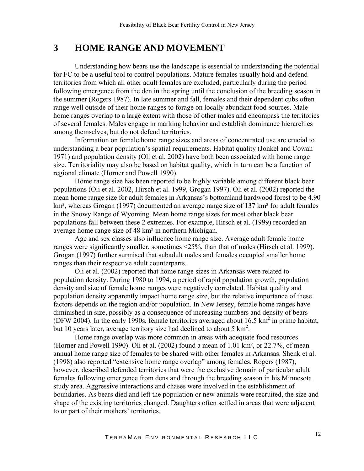## <span id="page-11-0"></span>**3 HOME RANGE AND MOVEMENT**

 Understanding how bears use the landscape is essential to understanding the potential for FC to be a useful tool to control populations. Mature females usually hold and defend territories from which all other adult females are excluded, particularly during the period following emergence from the den in the spring until the conclusion of the breeding season in the summer (Rogers 1987). In late summer and fall, females and their dependent cubs often range well outside of their home ranges to forage on locally abundant food sources. Male home ranges overlap to a large extent with those of other males and encompass the territories of several females. Males engage in marking behavior and establish dominance hierarchies among themselves, but do not defend territories.

Information on female home range sizes and areas of concentrated use are crucial to understanding a bear population's spatial requirements. Habitat quality (Jonkel and Cowan 1971) and population density (Oli et al. 2002) have both been associated with home range size. Territoriality may also be based on habitat quality, which in turn can be a function of regional climate (Horner and Powell 1990).

Home range size has been reported to be highly variable among different black bear populations (Oli et al. 2002, Hirsch et al. 1999, Grogan 1997). Oli et al. (2002) reported the mean home range size for adult females in Arkansas's bottomland hardwood forest to be 4.90 km<sup>2</sup>, whereas Grogan (1997) documented an average range size of 137 km<sup>2</sup> for adult females in the Snowy Range of Wyoming. Mean home range sizes for most other black bear populations fall between these 2 extremes. For example, Hirsch et al. (1999) recorded an average home range size of 48 km² in northern Michigan.

Age and sex classes also influence home range size. Average adult female home ranges were significantly smaller, sometimes <25%, than that of males (Hirsch et al. 1999). Grogan (1997) further surmised that subadult males and females occupied smaller home ranges than their respective adult counterparts.

Oli et al. (2002) reported that home range sizes in Arkansas were related to population density. During 1980 to 1994, a period of rapid population growth, population density and size of female home ranges were negatively correlated. Habitat quality and population density apparently impact home range size, but the relative importance of these factors depends on the region and/or population. In New Jersey, female home ranges have diminished in size, possibly as a consequence of increasing numbers and density of bears (DFW 2004). In the early 1990s, female territories averaged about  $16.5 \text{ km}^2$  in prime habitat, but 10 years later, average territory size had declined to about 5  $\text{km}^2$ .

Home range overlap was more common in areas with adequate food resources (Horner and Powell 1990). Oli et al. (2002) found a mean of 1.01 km², or 22.7%, of mean annual home range size of females to be shared with other females in Arkansas. Shenk et al. (1998) also reported "extensive home range overlap" among females. Rogers (1987), however, described defended territories that were the exclusive domain of particular adult females following emergence from dens and through the breeding season in his Minnesota study area. Aggressive interactions and chases were involved in the establishment of boundaries. As bears died and left the population or new animals were recruited, the size and shape of the existing territories changed. Daughters often settled in areas that were adjacent to or part of their mothers' territories.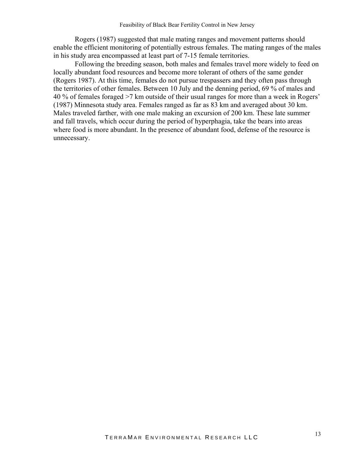Rogers (1987) suggested that male mating ranges and movement patterns should enable the efficient monitoring of potentially estrous females. The mating ranges of the males in his study area encompassed at least part of 7-15 female territories.

Following the breeding season, both males and females travel more widely to feed on locally abundant food resources and become more tolerant of others of the same gender (Rogers 1987). At this time, females do not pursue trespassers and they often pass through the territories of other females. Between 10 July and the denning period, 69 % of males and 40 % of females foraged >7 km outside of their usual ranges for more than a week in Rogers' (1987) Minnesota study area. Females ranged as far as 83 km and averaged about 30 km. Males traveled farther, with one male making an excursion of 200 km. These late summer and fall travels, which occur during the period of hyperphagia, take the bears into areas where food is more abundant. In the presence of abundant food, defense of the resource is unnecessary.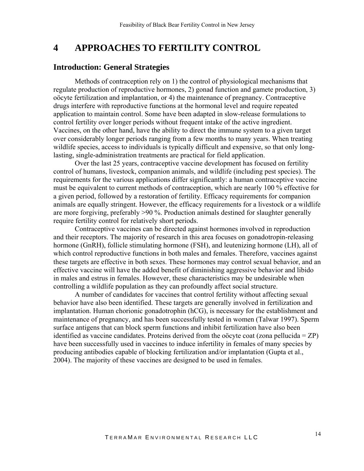# <span id="page-13-0"></span>**4 APPROACHES TO FERTILITY CONTROL**

#### **Introduction: General Strategies**

Methods of contraception rely on 1) the control of physiological mechanisms that regulate production of reproductive hormones, 2) gonad function and gamete production, 3) oöcyte fertilization and implantation, or 4) the maintenance of pregnancy. Contraceptive drugs interfere with reproductive functions at the hormonal level and require repeated application to maintain control. Some have been adapted in slow-release formulations to control fertility over longer periods without frequent intake of the active ingredient. Vaccines, on the other hand, have the ability to direct the immune system to a given target over considerably longer periods ranging from a few months to many years. When treating wildlife species, access to individuals is typically difficult and expensive, so that only longlasting, single-administration treatments are practical for field application.

Over the last 25 years, contraceptive vaccine development has focused on fertility control of humans, livestock, companion animals, and wildlife (including pest species). The requirements for the various applications differ significantly: a human contraceptive vaccine must be equivalent to current methods of contraception, which are nearly 100 % effective for a given period, followed by a restoration of fertility. Efficacy requirements for companion animals are equally stringent. However, the efficacy requirements for a livestock or a wildlife are more forgiving, preferably >90 %. Production animals destined for slaughter generally require fertility control for relatively short periods.

Contraceptive vaccines can be directed against hormones involved in reproduction and their receptors. The majority of research in this area focuses on gonadotropin-releasing hormone (GnRH), follicle stimulating hormone (FSH), and leutenizing hormone (LH), all of which control reproductive functions in both males and females. Therefore, vaccines against these targets are effective in both sexes. These hormones may control sexual behavior, and an effective vaccine will have the added benefit of diminishing aggressive behavior and libido in males and estrus in females. However, these characteristics may be undesirable when controlling a wildlife population as they can profoundly affect social structure.

A number of candidates for vaccines that control fertility without affecting sexual behavior have also been identified. These targets are generally involved in fertilization and implantation. Human chorionic gonadotrophin (hCG), is necessary for the establishment and maintenance of pregnancy, and has been successfully tested in women (Talwar 1997). Sperm surface antigens that can block sperm functions and inhibit fertilization have also been identified as vaccine candidates. Proteins derived from the oöcyte coat (zona pellucida = ZP) have been successfully used in vaccines to induce infertility in females of many species by producing antibodies capable of blocking fertilization and/or implantation (Gupta et al., 2004). The majority of these vaccines are designed to be used in females.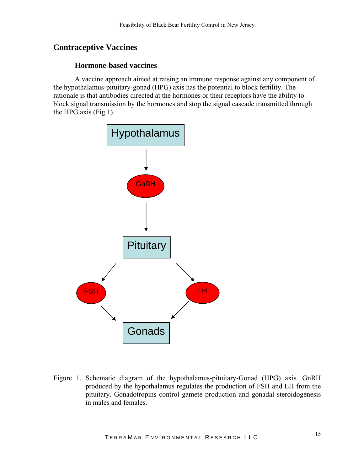### <span id="page-14-0"></span>**Contraceptive Vaccines**

#### **Hormone-based vaccines**

A vaccine approach aimed at raising an immune response against any component of the hypothalamus-pituitary-gonad (HPG) axis has the potential to block fertility. The rationale is that antibodies directed at the hormones or their receptors have the ability to block signal transmission by the hormones and stop the signal cascade transmitted through the HPG axis (Fig.1).



Figure 1. Schematic diagram of the hypothalamus-pituitary-Gonad (HPG) axis. GnRH produced by the hypothalamus regulates the production of FSH and LH from the pituitary. Gonadotropins control gamete production and gonadal steroidogenesis in males and females.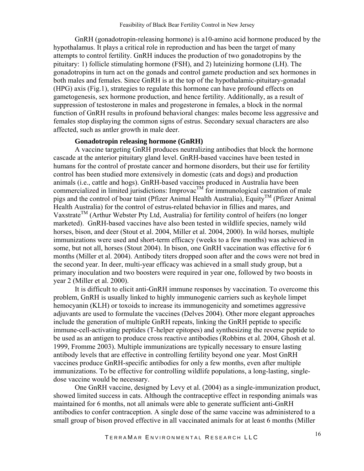GnRH (gonadotropin-releasing hormone) is a10-amino acid hormone produced by the hypothalamus. It plays a critical role in reproduction and has been the target of many attempts to control fertility. GnRH induces the production of two gonadotropins by the pituitary: 1) follicle stimulating hormone (FSH), and 2) luteinizing hormone (LH). The gonadotropins in turn act on the gonads and control gamete production and sex hormones in both males and females. Since GnRH is at the top of the hypothalamic-pituitary-gonadal (HPG) axis (Fig.1), strategies to regulate this hormone can have profound effects on gametogenesis, sex hormone production, and hence fertility. Additionally, as a result of suppression of testosterone in males and progesterone in females, a block in the normal function of GnRH results in profound behavioral changes: males become less aggressive and females stop displaying the common signs of estrus. Secondary sexual characters are also affected, such as antler growth in male deer.

#### **Gonadotropin releasing hormone (GnRH)**

A vaccine targeting GnRH produces neutralizing antibodies that block the hormone cascade at the anterior pituitary gland level. GnRH-based vaccines have been tested in humans for the control of prostate cancer and hormone disorders, but their use for fertility control has been studied more extensively in domestic (cats and dogs) and production animals (i.e., cattle and hogs). GnRH-based vaccines produced in Australia have been commercialized in limited jurisdictions: Improvac<sup>TM</sup> for immunological castration of male pigs and the control of boar taint (Pfizer Animal Health Australia), Equity<sup>TM</sup> (Pfizer Animal Health Australia) for the control of estrus-related behavior in fillies and mares, and Vaxstrate<sup>TM</sup> (Arthur Webster Pty Ltd, Australia) for fertility control of heifers (no longer marketed). GnRH-based vaccines have also been tested in wildlife species, namely wild horses, bison, and deer (Stout et al. 2004, Miller et al. 2004, 2000). In wild horses, multiple immunizations were used and short-term efficacy (weeks to a few months) was achieved in some, but not all, horses (Stout 2004). In bison, one GnRH vaccination was effective for 6 months (Miller et al. 2004). Antibody titers dropped soon after and the cows were not bred in the second year. In deer, multi-year efficacy was achieved in a small study group, but a primary inoculation and two boosters were required in year one, followed by two boosts in year 2 (Miller et al. 2000).

It is difficult to elicit anti-GnRH immune responses by vaccination. To overcome this problem, GnRH is usually linked to highly immunogenic carriers such as keyhole limpet hemocyanin (KLH) or toxoids to increase its immunogenicity and sometimes aggressive adjuvants are used to formulate the vaccines (Delves 2004). Other more elegant approaches include the generation of multiple GnRH repeats, linking the GnRH peptide to specific immune-cell-activating peptides (T-helper epitopes) and synthesizing the reverse peptide to be used as an antigen to produce cross reactive antibodies (Robbins et al. 2004, Ghosh et al. 1999, Fromme 2003). Multiple immunizations are typically necessary to ensure lasting antibody levels that are effective in controlling fertility beyond one year. Most GnRH vaccines produce GnRH-specific antibodies for only a few months, even after multiple immunizations. To be effective for controlling wildlife populations, a long-lasting, singledose vaccine would be necessary.

One GnRH vaccine, designed by Levy et al. (2004) as a single-immunization product, showed limited success in cats. Although the contraceptive effect in responding animals was maintained for 6 months, not all animals were able to generate sufficient anti-GnRH antibodies to confer contraception. A single dose of the same vaccine was administered to a small group of bison proved effective in all vaccinated animals for at least 6 months (Miller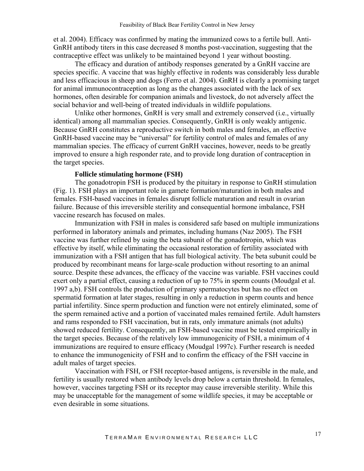et al. 2004). Efficacy was confirmed by mating the immunized cows to a fertile bull. Anti-GnRH antibody titers in this case decreased 8 months post-vaccination, suggesting that the contraceptive effect was unlikely to be maintained beyond 1 year without boosting.

The efficacy and duration of antibody responses generated by a GnRH vaccine are species specific. A vaccine that was highly effective in rodents was considerably less durable and less efficacious in sheep and dogs (Ferro et al. 2004). GnRH is clearly a promising target for animal immunocontraception as long as the changes associated with the lack of sex hormones, often desirable for companion animals and livestock, do not adversely affect the social behavior and well-being of treated individuals in wildlife populations.

Unlike other hormones, GnRH is very small and extremely conserved (i.e., virtually identical) among all mammalian species. Consequently, GnRH is only weakly antigenic. Because GnRH constitutes a reproductive switch in both males and females, an effective GnRH-based vaccine may be "universal" for fertility control of males and females of any mammalian species. The efficacy of current GnRH vaccines, however, needs to be greatly improved to ensure a high responder rate, and to provide long duration of contraception in the target species.

#### **Follicle stimulating hormone (FSH)**

The gonadotropin FSH is produced by the pituitary in response to GnRH stimulation (Fig. 1). FSH plays an important role in gamete formation/maturation in both males and females. FSH-based vaccines in females disrupt follicle maturation and result in ovarian failure. Because of this irreversible sterility and consequential hormone imbalance, FSH vaccine research has focused on males.

Immunization with FSH in males is considered safe based on multiple immunizations performed in laboratory animals and primates, including humans (Naz 2005). The FSH vaccine was further refined by using the beta subunit of the gonadotropin, which was effective by itself, while eliminating the occasional restoration of fertility associated with immunization with a FSH antigen that has full biological activity. The beta subunit could be produced by recombinant means for large-scale production without resorting to an animal source. Despite these advances, the efficacy of the vaccine was variable. FSH vaccines could exert only a partial effect, causing a reduction of up to 75% in sperm counts (Moudgal et al. 1997 a,b). FSH controls the production of primary spermatocytes but has no effect on spermatid formation at later stages, resulting in only a reduction in sperm counts and hence partial infertility. Since sperm production and function were not entirely eliminated, some of the sperm remained active and a portion of vaccinated males remained fertile. Adult hamsters and rams responded to FSH vaccination, but in rats, only immature animals (not adults) showed reduced fertility. Consequently, an FSH-based vaccine must be tested empirically in the target species. Because of the relatively low immunogenicity of FSH, a minimum of 4 immunizations are required to ensure efficacy (Moudgal 1997c). Further research is needed to enhance the immunogenicity of FSH and to confirm the efficacy of the FSH vaccine in adult males of target species.

Vaccination with FSH, or FSH receptor-based antigens, is reversible in the male, and fertility is usually restored when antibody levels drop below a certain threshold. In females, however, vaccines targeting FSH or its receptor may cause irreversible sterility. While this may be unacceptable for the management of some wildlife species, it may be acceptable or even desirable in some situations.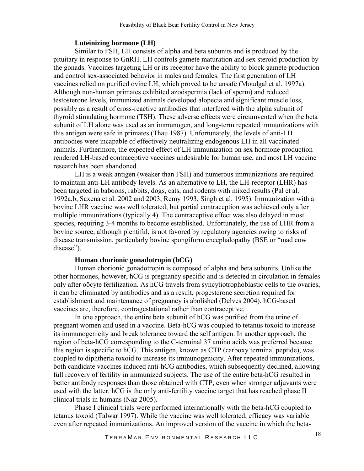#### **Luteinizing hormone (LH)**

Similar to FSH, LH consists of alpha and beta subunits and is produced by the pituitary in response to GnRH. LH controls gamete maturation and sex steroid production by the gonads. Vaccines targeting LH or its receptor have the ability to block gamete production and control sex-associated behavior in males and females. The first generation of LH vaccines relied on purified ovine LH, which proved to be unsafe (Moudgal et al. 1997a). Although non-human primates exhibited azoöspermia (lack of sperm) and reduced testosterone levels, immunized animals developed alopecia and significant muscle loss, possibly as a result of cross-reactive antibodies that interfered with the alpha subunit of thyroid stimulating hormone (TSH). These adverse effects were circumvented when the beta subunit of LH alone was used as an immunogen, and long-term repeated immunizations with this antigen were safe in primates (Thau 1987). Unfortunately, the levels of anti-LH antibodies were incapable of effectively neutralizing endogenous LH in all vaccinated animals. Furthermore, the expected effect of LH immunization on sex hormone production rendered LH-based contraceptive vaccines undesirable for human use, and most LH vaccine research has been abandoned.

LH is a weak antigen (weaker than FSH) and numerous immunizations are required to maintain anti-LH antibody levels. As an alternative to LH, the LH-receptor (LHR) has been targeted in baboons, rabbits, dogs, cats, and rodents with mixed results (Pal et al. 1992a,b, Saxena et al. 2002 and 2003, Remy 1993, Singh et al. 1995). Immunization with a bovine LHR vaccine was well tolerated, but partial contraception was achieved only after multiple immunizations (typically 4). The contraceptive effect was also delayed in most species, requiring 3-4 months to become established. Unfortunately, the use of LHR from a bovine source, although plentiful, is not favored by regulatory agencies owing to risks of disease transmission, particularly bovine spongiform encephalopathy (BSE or "mad cow disease").

#### **Human chorionic gonadotropin (hCG)**

Human chorionic gonadotropin is composed of alpha and beta subunits. Unlike the other hormones, however, hCG is pregnancy specific and is detected in circulation in females only after oöcyte fertilization. As hCG travels from syncytiotrophoblastic cells to the ovaries, it can be eliminated by antibodies and as a result, progesterone secretion required for establishment and maintenance of pregnancy is abolished (Delves 2004). hCG-based vaccines are, therefore, contragestational rather than contraceptive.

In one approach, the entire beta subunit of hCG was purified from the urine of pregnant women and used in a vaccine. Beta-hCG was coupled to tetanus toxoid to increase its immunogenicity and break tolerance toward the self antigen. In another approach, the region of beta-hCG corresponding to the C-terminal 37 amino acids was preferred because this region is specific to hCG. This antigen, known as CTP (carboxy terminal peptide), was coupled to diphtheria toxoid to increase its immunogenicity. After repeated immunizations, both candidate vaccines induced anti-hCG antibodies, which subsequently declined, allowing full recovery of fertility in immunized subjects. The use of the entire beta-hCG resulted in better antibody responses than those obtained with CTP, even when stronger adjuvants were used with the latter. hCG is the only anti-fertility vaccine target that has reached phase II clinical trials in humans (Naz 2005).

Phase I clinical trials were performed internationally with the beta-hCG coupled to tetanus toxoid (Talwar 1997). While the vaccine was well tolerated, efficacy was variable even after repeated immunizations. An improved version of the vaccine in which the beta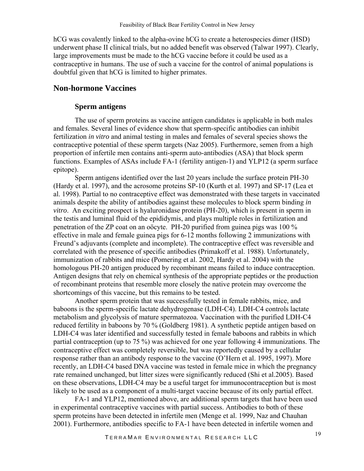<span id="page-18-0"></span>hCG was covalently linked to the alpha-ovine hCG to create a heterospecies dimer (HSD) underwent phase II clinical trials, but no added benefit was observed (Talwar 1997). Clearly, large improvements must be made to the hCG vaccine before it could be used as a contraceptive in humans. The use of such a vaccine for the control of animal populations is doubtful given that hCG is limited to higher primates.

#### **Non-hormone Vaccines**

#### **Sperm antigens**

The use of sperm proteins as vaccine antigen candidates is applicable in both males and females. Several lines of evidence show that sperm-specific antibodies can inhibit fertilization *in vitro* and animal testing in males and females of several species shows the contraceptive potential of these sperm targets (Naz 2005). Furthermore, semen from a high proportion of infertile men contains anti-sperm auto-antibodies (ASA) that block sperm functions. Examples of ASAs include FA-1 (fertility antigen-1) and YLP12 (a sperm surface epitope).

Sperm antigens identified over the last 20 years include the surface protein PH-30 (Hardy et al. 1997), and the acrosome proteins SP-10 (Kurth et al. 1997) and SP-17 (Lea et al. 1998). Partial to no contraceptive effect was demonstrated with these targets in vaccinated animals despite the ability of antibodies against these molecules to block sperm binding *in vitro*. An exciting prospect is hyaluronidase protein (PH-20), which is present in sperm in the testis and luminal fluid of the epididymis, and plays multiple roles in fertilization and penetration of the ZP coat on an oöcyte. PH-20 purified from guinea pigs was 100 % effective in male and female guinea pigs for 6-12 months following 2 immunizations with Freund's adjuvants (complete and incomplete). The contraceptive effect was reversible and correlated with the presence of specific antibodies (Primakoff et al. 1988). Unfortunately, immunization of rabbits and mice (Pomering et al. 2002, Hardy et al. 2004) with the homologous PH-20 antigen produced by recombinant means failed to induce contraception. Antigen designs that rely on chemical synthesis of the appropriate peptides or the production of recombinant proteins that resemble more closely the native protein may overcome the shortcomings of this vaccine, but this remains to be tested.

Another sperm protein that was successfully tested in female rabbits, mice, and baboons is the sperm-specific lactate dehydrogenase (LDH-C4). LDH-C4 controls lactate metabolism and glycolysis of mature spermatozoa. Vaccination with the purified LDH-C4 reduced fertility in baboons by 70 % (Goldberg 1981). A synthetic peptide antigen based on LDH-C4 was later identified and successfully tested in female baboons and rabbits in which partial contraception (up to 75 %) was achieved for one year following 4 immunizations. The contraceptive effect was completely reversible, but was reportedly caused by a cellular response rather than an antibody response to the vaccine (O'Hern et al. 1995, 1997). More recently, an LDH-C4 based DNA vaccine was tested in female mice in which the pregnancy rate remained unchanged, but litter sizes were significantly reduced (Shi et al.2005). Based on these observations, LDH-C4 may be a useful target for immunocontraception but is most likely to be used as a component of a multi-target vaccine because of its only partial effect.

FA-1 and YLP12, mentioned above, are additional sperm targets that have been used in experimental contraceptive vaccines with partial success. Antibodies to both of these sperm proteins have been detected in infertile men (Menge et al. 1999, Naz and Chauhan 2001). Furthermore, antibodies specific to FA-1 have been detected in infertile women and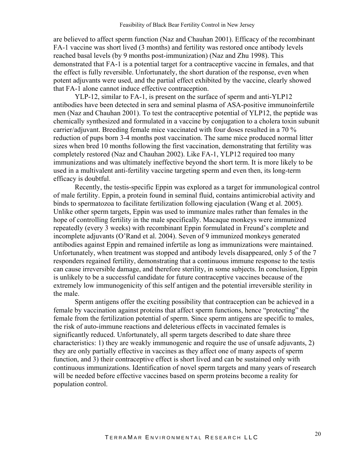are believed to affect sperm function (Naz and Chauhan 2001). Efficacy of the recombinant FA-1 vaccine was short lived (3 months) and fertility was restored once antibody levels reached basal levels (by 9 months post-immunization) (Naz and Zhu 1998). This demonstrated that FA-1 is a potential target for a contraceptive vaccine in females, and that the effect is fully reversible. Unfortunately, the short duration of the response, even when potent adjuvants were used, and the partial effect exhibited by the vaccine, clearly showed that FA-1 alone cannot induce effective contraception.

YLP-12, similar to FA-1, is present on the surface of sperm and anti-YLP12 antibodies have been detected in sera and seminal plasma of ASA-positive immunoinfertile men (Naz and Chauhan 2001). To test the contraceptive potential of YLP12, the peptide was chemically synthesized and formulated in a vaccine by conjugation to a cholera toxin subunit carrier/adjuvant. Breeding female mice vaccinated with four doses resulted in a 70 % reduction of pups born 3-4 months post vaccination. The same mice produced normal litter sizes when bred 10 months following the first vaccination, demonstrating that fertility was completely restored (Naz and Chauhan 2002). Like FA-1, YLP12 required too many immunizations and was ultimately ineffective beyond the short term. It is more likely to be used in a multivalent anti-fertility vaccine targeting sperm and even then, its long-term efficacy is doubtful.

Recently, the testis-specific Eppin was explored as a target for immunological control of male fertility. Eppin, a protein found in seminal fluid, contains antimicrobial activity and binds to spermatozoa to facilitate fertilization following ejaculation (Wang et al. 2005). Unlike other sperm targets, Eppin was used to immunize males rather than females in the hope of controlling fertility in the male specifically. Macaque monkeys were immunized repeatedly (every 3 weeks) with recombinant Eppin formulated in Freund's complete and incomplete adjuvants (O'Rand et al. 2004). Seven of 9 immunized monkeys generated antibodies against Eppin and remained infertile as long as immunizations were maintained. Unfortunately, when treatment was stopped and antibody levels disappeared, only 5 of the 7 responders regained fertility, demonstrating that a continuous immune response to the testis can cause irreversible damage, and therefore sterility, in some subjects. In conclusion, Eppin is unlikely to be a successful candidate for future contraceptive vaccines because of the extremely low immunogenicity of this self antigen and the potential irreversible sterility in the male.

Sperm antigens offer the exciting possibility that contraception can be achieved in a female by vaccination against proteins that affect sperm functions, hence "protecting" the female from the fertilization potential of sperm. Since sperm antigens are specific to males, the risk of auto-immune reactions and deleterious effects in vaccinated females is significantly reduced. Unfortunately, all sperm targets described to date share three characteristics: 1) they are weakly immunogenic and require the use of unsafe adjuvants, 2) they are only partially effective in vaccines as they affect one of many aspects of sperm function, and 3) their contraceptive effect is short lived and can be sustained only with continuous immunizations. Identification of novel sperm targets and many years of research will be needed before effective vaccines based on sperm proteins become a reality for population control.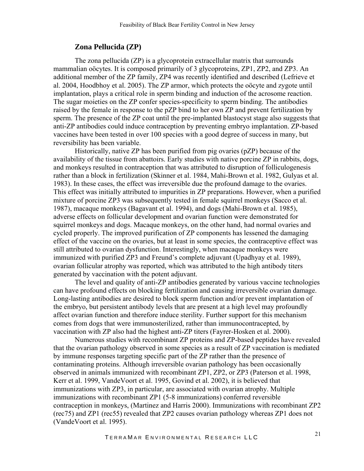#### **Zona Pellucida (ZP)**

<span id="page-20-0"></span>The zona pellucida (ZP) is a glycoprotein extracellular matrix that surrounds mammalian oöcytes. It is composed primarily of 3 glycoproteins, ZP1, ZP2, and ZP3. An additional member of the ZP family, ZP4 was recently identified and described (Lefrieve et al. 2004, Hoodbhoy et al. 2005). The ZP armor, which protects the oöcyte and zygote until implantation, plays a critical role in sperm binding and induction of the acrosome reaction. The sugar moieties on the ZP confer species-specificity to sperm binding. The antibodies raised by the female in response to the pZP bind to her own ZP and prevent fertilization by sperm. The presence of the ZP coat until the pre-implanted blastocyst stage also suggests that anti-ZP antibodies could induce contraception by preventing embryo implantation. ZP-based vaccines have been tested in over 100 species with a good degree of success in many, but reversibility has been variable.

Historically, native ZP has been purified from pig ovaries (pZP) because of the availability of the tissue from abattoirs. Early studies with native porcine ZP in rabbits, dogs, and monkeys resulted in contraception that was attributed to disruption of folliculogenesis rather than a block in fertilization (Skinner et al. 1984, Mahi-Brown et al. 1982, Gulyas et al. 1983). In these cases, the effect was irreversible due the profound damage to the ovaries. This effect was initially attributed to impurities in ZP preparations. However, when a purified mixture of porcine ZP3 was subsequently tested in female squirrel monkeys (Sacco et al. 1987), macaque monkeys (Bagavant et al. 1994), and dogs (Mahi-Brown et al. 1985), adverse effects on follicular development and ovarian function were demonstrated for squirrel monkeys and dogs. Macaque monkeys, on the other hand, had normal ovaries and cycled properly. The improved purification of ZP components has lessened the damaging effect of the vaccine on the ovaries, but at least in some species, the contraceptive effect was still attributed to ovarian dysfunction. Interestingly, when macaque monkeys were immunized with purified ZP3 and Freund's complete adjuvant (Upadhyay et al. 1989), ovarian follicular atrophy was reported, which was attributed to the high antibody titers generated by vaccination with the potent adjuvant.

The level and quality of anti-ZP antibodies generated by various vaccine technologies can have profound effects on blocking fertilization and causing irreversible ovarian damage. Long-lasting antibodies are desired to block sperm function and/or prevent implantation of the embryo, but persistent antibody levels that are present at a high level may profoundly affect ovarian function and therefore induce sterility. Further support for this mechanism comes from dogs that were immunosterilized, rather than immunocontracepted, by vaccination with ZP also had the highest anti-ZP titers (Fayrer-Hosken et al. 2000).

Numerous studies with recombinant ZP proteins and ZP-based peptides have revealed that the ovarian pathology observed in some species as a result of ZP vaccination is mediated by immune responses targeting specific part of the ZP rather than the presence of contaminating proteins. Although irreversible ovarian pathology has been occasionally observed in animals immunized with recombinant ZP1, ZP2, or ZP3 (Paterson et al. 1998, Kerr et al. 1999, VandeVoort et al. 1995, Govind et al. 2002), it is believed that immunizations with ZP3, in particular, are associated with ovarian atrophy. Multiple immunizations with recombinant ZP1 (5-8 immunizations) conferred reversible contraception in monkeys, (Martinez and Harris 2000). Immunizations with recombinant ZP2 (rec75) and ZP1 (rec55) revealed that ZP2 causes ovarian pathology whereas ZP1 does not (VandeVoort et al. 1995).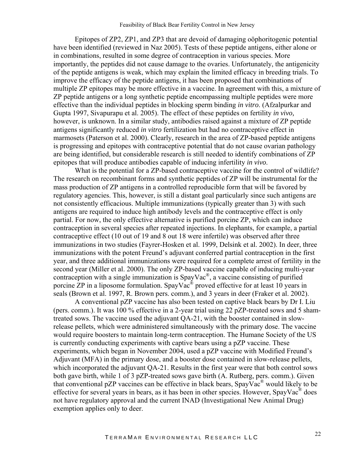Epitopes of ZP2, ZP1, and ZP3 that are devoid of damaging oöphoritogenic potential have been identified (reviewed in Naz 2005). Tests of these peptide antigens, either alone or in combinations, resulted in some degree of contraception in various species. More importantly, the peptides did not cause damage to the ovaries. Unfortunately, the antigenicity of the peptide antigens is weak, which may explain the limited efficacy in breeding trials. To improve the efficacy of the peptide antigens, it has been proposed that combinations of multiple ZP epitopes may be more effective in a vaccine. In agreement with this, a mixture of ZP peptide antigens or a long synthetic peptide encompassing multiple peptides were more effective than the individual peptides in blocking sperm binding *in vitro*. (Afzalpurkar and Gupta 1997, Sivapurapu et al. 2005). The effect of these peptides on fertility *in vivo,* however, is unknown. In a similar study, antibodies raised against a mixture of ZP peptide antigens significantly reduced *in vitro* fertilization but had no contraceptive effect in marmosets (Paterson et al. 2000). Clearly, research in the area of ZP-based peptide antigens is progressing and epitopes with contraceptive potential that do not cause ovarian pathology are being identified, but considerable research is still needed to identify combinations of ZP epitopes that will produce antibodies capable of inducing infertility *in vivo*.

What is the potential for a ZP-based contraceptive vaccine for the control of wildlife? The research on recombinant forms and synthetic peptides of ZP will be instrumental for the mass production of ZP antigens in a controlled reproducible form that will be favored by regulatory agencies. This, however, is still a distant goal particularly since such antigens are not consistently efficacious. Multiple immunizations (typically greater than 3) with such antigens are required to induce high antibody levels and the contraceptive effect is only partial. For now, the only effective alternative is purified porcine ZP, which can induce contraception in several species after repeated injections. In elephants, for example, a partial contraceptive effect (10 out of 19 and 8 out 18 were infertile) was observed after three immunizations in two studies (Fayrer-Hosken et al. 1999, Delsink et al. 2002). In deer, three immunizations with the potent Freund's adjuvant conferred partial contraception in the first year, and three additional immunizations were required for a complete arrest of fertility in the second year (Miller et al. 2000). The only ZP-based vaccine capable of inducing multi-year contraception with a single immunization is SpayVac®, a vaccine consisting of purified porcine ZP in a liposome formulation. SpayVac<sup>®</sup> proved effective for at least 10 years in seals (Brown et al. 1997, R. Brown pers. comm.), and 3 years in deer (Fraker et al. 2002).

A conventional pZP vaccine has also been tested on captive black bears by Dr I. Liu (pers. comm.). It was 100 % effective in a 2-year trial using 22 pZP-treated sows and 5 shamtreated sows. The vaccine used the adjuvant QA-21, with the booster contained in slowrelease pellets, which were administered simultaneously with the primary dose. The vaccine would require boosters to maintain long-term contraception. The Humane Society of the US is currently conducting experiments with captive bears using a pZP vaccine. These experiments, which began in November 2004, used a pZP vaccine with Modified Freund's Adjuvant (MFA) in the primary dose, and a booster dose contained in slow-release pellets, which incorporated the adjuvant OA-21. Results in the first year were that both control sows both gave birth, while 1 of 3 pZP-treated sows gave birth (A. Rutberg, pers. comm.). Given that conventional pZP vaccines can be effective in black bears,  $SpavVac^{\circledR}$  would likely to be effective for several years in bears, as it has been in other species. However, SpayVac<sup>®</sup> does not have regulatory approval and the current INAD (Investigational New Animal Drug) exemption applies only to deer.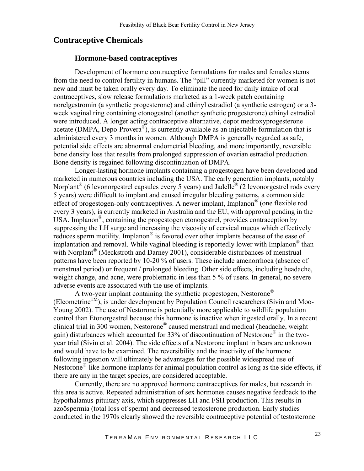#### <span id="page-22-0"></span>**Contraceptive Chemicals**

#### **Hormone-based contraceptives**

Development of hormone contraceptive formulations for males and females stems from the need to control fertility in humans. The "pill" currently marketed for women is not new and must be taken orally every day. To eliminate the need for daily intake of oral contraceptives, slow release formulations marketed as a 1-week patch containing norelgestromin (a synthetic progesterone) and ethinyl estradiol (a synthetic estrogen) or a 3 week vaginal ring containing etonogestrel (another synthetic progesterone) ethinyl estradiol were introduced. A longer acting contraceptive alternative, depot medroxyprogesterone acetate (DMPA, Depo-Provera<sup>®</sup>), is currently available as an injectable formulation that is administered every 3 months in women. Although DMPA is generally regarded as safe, potential side effects are abnormal endometrial bleeding, and more importantly, reversible bone density loss that results from prolonged suppression of ovarian estradiol production. Bone density is regained following discontinuation of DMPA.

Longer-lasting hormone implants containing a progestogen have been developed and marketed in numerous countries including the USA. The early generation implants, notably Norplant<sup>®</sup> (6 levonorgestrel capsules every 5 years) and Jadelle<sup>®</sup> (2 levonorgestrel rods every 5 years) were difficult to implant and caused irregular bleeding patterns, a common side effect of progestogen-only contraceptives. A newer implant, Implanon<sup>®</sup> (one flexible rod every 3 years), is currently marketed in Australia and the EU, with approval pending in the USA. Implanon<sup>®</sup>, containing the progestogen etonogestrel, provides contraception by suppressing the LH surge and increasing the viscosity of cervical mucus which effectively reduces sperm motility. Implanon® is favored over other implants because of the ease of implantation and removal. While vaginal bleeding is reportedly lower with Implanon<sup>®</sup> than with Norplant<sup>®</sup> (Meckstroth and Darney 2001), considerable disturbances of menstrual patterns have been reported by 10-20 % of users. These include amenorrhoea (absence of menstrual period) or frequent / prolonged bleeding. Other side effects, including headache, weight change, and acne, were problematic in less than 5 % of users. In general, no severe adverse events are associated with the use of implants.

A two-year implant containing the synthetic progestogen, Nestorone<sup>®</sup> (Elcometrine<sup>TM</sup>), is under development by Population Council researchers (Sivin and Moo-Young 2002). The use of Nestorone is potentially more applicable to wildlife population control than Etonorgestrel because this hormone is inactive when ingested orally. In a recent clinical trial in 300 women, Nestorone® caused menstrual and medical (headache, weight gain) disturbances which accounted for 33% of discontinuation of Nestorone® in the twoyear trial (Sivin et al. 2004). The side effects of a Nestorone implant in bears are unknown and would have to be examined. The reversibility and the inactivity of the hormone following ingestion will ultimately be advantages for the possible widespread use of Nestorone<sup>®</sup>-like hormone implants for animal population control as long as the side effects, if there are any in the target species, are considered acceptable.

Currently, there are no approved hormone contraceptives for males, but research in this area is active. Repeated administration of sex hormones causes negative feedback to the hypothalamus-pituitary axis, which suppresses LH and FSH production. This results in azoöspermia (total loss of sperm) and decreased testosterone production. Early studies conducted in the 1970s clearly showed the reversible contraceptive potential of testosterone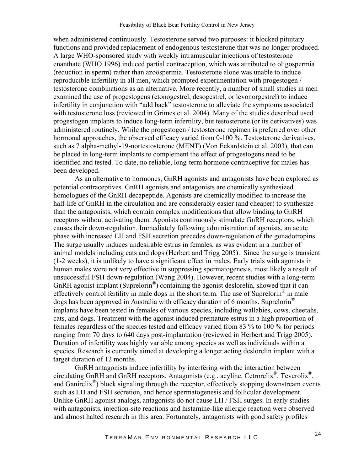when administered continuously. Testosterone served two purposes: it blocked pituitary functions and provided replacement of endogenous testosterone that was no longer produced. A large WHO-sponsored study with weekly intramuscular injections of testosterone enanthate (WHO 1996) induced partial contraception, which was attributed to oligospermia (reduction in sperm) rather than azoöspermia. Testosterone alone was unable to induce reproducible infertility in all men, which prompted experimentation with progestogen / testosterone combinations as an alternative. More recently, a number of small studies in men examined the use of progestogens (etonogestrel, desogestrel, or levonorgestrel) to induce infertility in conjunction with "add back" testosterone to alleviate the symptoms associated with testosterone loss (reviewed in Grimes et al. 2004). Many of the studies described used progestogen implants to induce long-term infertility, but testosterone (or its derivatives) was administered routinely. While the progestogen / testosterone regimen is preferred over other hormonal approaches, the observed efficacy varied from 0-100 %. Testosterone derivatives, such as 7 alpha-methyl-19-nortestosterone (MENT) (Von Eckardstein et al. 2003), that can be placed in long-term implants to complement the effect of progestogens need to be identified and tested. To date, no reliable, long-term hormone contraceptive for males has been developed.

As an alternative to hormones, GnRH agonists and antagonists have been explored as potential contraceptives. GnRH agonists and antagonists are chemically synthesized homologues of the GnRH decapeptide. Agonists are chemically modified to increase the half-life of GnRH in the circulation and are considerably easier (and cheaper) to synthesize than the antagonists, which contain complex modifications that allow binding to GnRH receptors without activating them. Agonists continuously stimulate GnRH receptors, which causes their down-regulation. Immediately following administration of agonists, an acute phase with increased LH and FSH secretion precedes down-regulation of the gonadotropins. The surge usually induces undesirable estrus in females, as was evident in a number of animal models including cats and dogs (Herbert and Trigg 2005). Since the surge is transient (1-2 weeks), it is unlikely to have a significant effect in males. Early trials with agonists in human males were not very effective in suppressing spermatogenesis, most likely a result of unsuccessful FSH down-regulation (Wang 2004). However, recent studies with a long-term GnRH agonist implant (Suprelorin<sup>®</sup>) containing the agonist deslorelin, showed that it can effectively control fertility in male dogs in the short term. The use of Suprelorin<sup>®</sup> in male dogs has been approved in Australia with efficacy duration of 6 months. Suprelorin<sup>®</sup> implants have been tested in females of various species, including wallabies, cows, cheetahs, cats, and dogs. Treatment with the agonist induced premature estrus in a high proportion of females regardless of the species tested and efficacy varied from 83 % to 100 % for periods ranging from 70 days to 640 days post-implantation (reviewed in Herbert and Trigg 2005). Duration of infertility was highly variable among species as well as individuals within a species. Research is currently aimed at developing a longer acting deslorelin implant with a target duration of 12 months.

GnRH antagonists induce infertility by interfering with the interaction between circulating GnRH and GnRH receptors. Antagonists (e.g., acyline, Cetrorelix®, Teverolix®, and Ganirelix<sup>®</sup>) block signaling through the receptor, effectively stopping downstream events such as LH and FSH secretion, and hence spermatogenesis and follicular development. Unlike GnRH agonist analogs, antagonists do not cause LH / FSH surges. In early studies with antagonists, injection-site reactions and histamine-like allergic reaction were observed and almost halted research in this area. Fortunately, antagonists with good safety profiles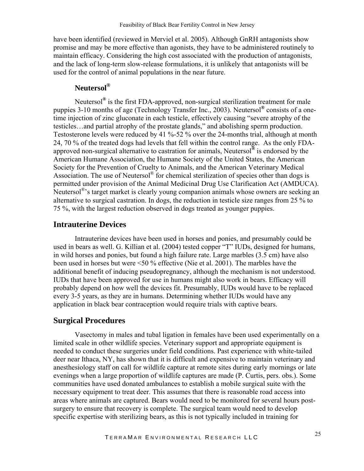<span id="page-24-0"></span>have been identified (reviewed in Merviel et al. 2005). Although GnRH antagonists show promise and may be more effective than agonists, they have to be administered routinely to maintain efficacy. Considering the high cost associated with the production of antagonists, and the lack of long-term slow-release formulations, it is unlikely that antagonists will be used for the control of animal populations in the near future.

#### **Neutersol®**

Neutersol**®** is the first FDA-approved, non-surgical sterilization treatment for male puppies 3-10 months of age (Technology Transfer Inc., 2003). Neutersol**®** consists of a onetime injection of zinc gluconate in each testicle, effectively causing "severe atrophy of the testicles…and partial atrophy of the prostate glands," and abolishing sperm production. Testosterone levels were reduced by 41 %-52 % over the 24-months trial, although at month 24, 70 % of the treated dogs had levels that fell within the control range. As the only FDAapproved non-surgical alternative to castration for animals, Neutersol**®** is endorsed by the American Humane Association, the Humane Society of the United States, the American Society for the Prevention of Cruelty to Animals, and the American Veterinary Medical Association. The use of Neutersol® for chemical sterilization of species other than dogs is permitted under provision of the Animal Medicinal Drug Use Clarification Act (AMDUCA). Neutersol<sup>®</sup>'s target market is clearly young companion animals whose owners are seeking an alternative to surgical castration. In dogs, the reduction in testicle size ranges from 25 % to 75 %, with the largest reduction observed in dogs treated as younger puppies.

#### **Intrauterine Devices**

 Intrauterine devices have been used in horses and ponies, and presumably could be used in bears as well. G. Killian et al. (2004) tested copper "T" IUDs, designed for humans, in wild horses and ponies, but found a high failure rate. Large marbles (3.5 cm) have also been used in horses but were <50 % effective (Nie et al. 2001). The marbles have the additional benefit of inducing pseudopregnancy, although the mechanism is not understood. IUDs that have been approved for use in humans might also work in bears. Efficacy will probably depend on how well the devices fit. Presumably, IUDs would have to be replaced every 3-5 years, as they are in humans. Determining whether IUDs would have any application in black bear contraception would require trials with captive bears.

#### **Surgical Procedures**

 Vasectomy in males and tubal ligation in females have been used experimentally on a limited scale in other wildlife species. Veterinary support and appropriate equipment is needed to conduct these surgeries under field conditions. Past experience with white-tailed deer near Ithaca, NY, has shown that it is difficult and expensive to maintain veterinary and anesthesiology staff on call for wildlife capture at remote sites during early mornings or late evenings when a large proportion of wildlife captures are made (P. Curtis, pers. obs.). Some communities have used donated ambulances to establish a mobile surgical suite with the necessary equipment to treat deer. This assumes that there is reasonable road access into areas where animals are captured. Bears would need to be monitored for several hours postsurgery to ensure that recovery is complete. The surgical team would need to develop specific expertise with sterilizing bears, as this is not typically included in training for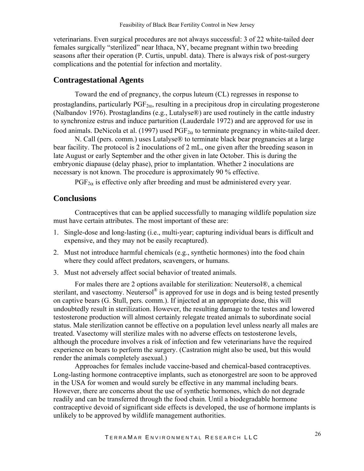<span id="page-25-0"></span>veterinarians. Even surgical procedures are not always successful: 3 of 22 white-tailed deer females surgically "sterilized" near Ithaca, NY, became pregnant within two breeding seasons after their operation (P. Curtis, unpubl. data). There is always risk of post-surgery complications and the potential for infection and mortality.

#### **Contragestational Agents**

 Toward the end of pregnancy, the corpus luteum (CL) regresses in response to prostaglandins, particularly  $PGF_{2\alpha}$ , resulting in a precipitous drop in circulating progesterone (Nalbandov 1976). Prostaglandins (e.g., Lutalyse®) are used routinely in the cattle industry to synchronize estrus and induce parturition (Lauderdale 1972) and are approved for use in food animals. DeNicola et al. (1997) used  $PGF_{2\alpha}$  to terminate pregnancy in white-tailed deer.

 N. Call (pers. comm.) uses Lutalyse® to terminate black bear pregnancies at a large bear facility. The protocol is 2 inoculations of 2 mL, one given after the breeding season in late August or early September and the other given in late October. This is during the embryonic diapause (delay phase), prior to implantation. Whether 2 inoculations are necessary is not known. The procedure is approximately 90 % effective.

 $PGF_{2\alpha}$  is effective only after breeding and must be administered every year.

#### **Conclusions**

Contraceptives that can be applied successfully to managing wildlife population size must have certain attributes. The most important of these are:

- 1. Single-dose and long-lasting (i.e., multi-year; capturing individual bears is difficult and expensive, and they may not be easily recaptured).
- 2. Must not introduce harmful chemicals (e.g., synthetic hormones) into the food chain where they could affect predators, scavengers, or humans.
- 3. Must not adversely affect social behavior of treated animals.

For males there are 2 options available for sterilization: Neutersol®, a chemical sterilant, and vasectomy. Neutersol<sup>®</sup> is approved for use in dogs and is being tested presently on captive bears (G. Stull, pers. comm.). If injected at an appropriate dose, this will undoubtedly result in sterilization. However, the resulting damage to the testes and lowered testosterone production will almost certainly relegate treated animals to subordinate social status. Male sterilization cannot be effective on a population level unless nearly all males are treated. Vasectomy will sterilize males with no adverse effects on testosterone levels, although the procedure involves a risk of infection and few veterinarians have the required experience on bears to perform the surgery. (Castration might also be used, but this would render the animals completely asexual.)

Approaches for females include vaccine-based and chemical-based contraceptives. Long-lasting hormone contraceptive implants, such as etonorgestrel are soon to be approved in the USA for women and would surely be effective in any mammal including bears. However, there are concerns about the use of synthetic hormones, which do not degrade readily and can be transferred through the food chain. Until a biodegradable hormone contraceptive devoid of significant side effects is developed, the use of hormone implants is unlikely to be approved by wildlife management authorities.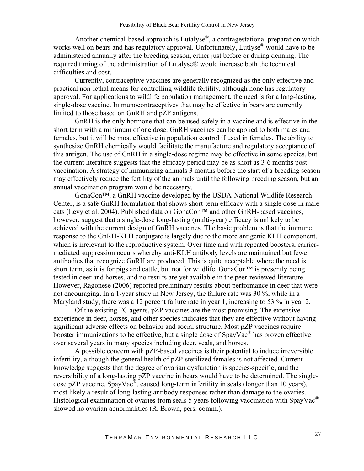Another chemical-based approach is Lutalyse®, a contragestational preparation which works well on bears and has regulatory approval. Unfortunately, Lutlyse<sup>®</sup> would have to be administered annually after the breeding season, either just before or during denning. The required timing of the administration of Lutalyse® would increase both the technical difficulties and cost.

Currently, contraceptive vaccines are generally recognized as the only effective and practical non-lethal means for controlling wildlife fertility, although none has regulatory approval. For applications to wildlife population management, the need is for a long-lasting, single-dose vaccine. Immunocontraceptives that may be effective in bears are currently limited to those based on GnRH and pZP antigens.

GnRH is the only hormone that can be used safely in a vaccine and is effective in the short term with a minimum of one dose. GnRH vaccines can be applied to both males and females, but it will be most effective in population control if used in females. The ability to synthesize GnRH chemically would facilitate the manufacture and regulatory acceptance of this antigen. The use of GnRH in a single-dose regime may be effective in some species, but the current literature suggests that the efficacy period may be as short as 3-6 months postvaccination. A strategy of immunizing animals 3 months before the start of a breeding season may effectively reduce the fertility of the animals until the following breeding season, but an annual vaccination program would be necessary.

GonaCon™, a GnRH vaccine developed by the USDA-National Wildlife Research Center, is a safe GnRH formulation that shows short-term efficacy with a single dose in male cats (Levy et al. 2004). Published data on GonaCon™ and other GnRH-based vaccines, however, suggest that a single-dose long-lasting (multi-year) efficacy is unlikely to be achieved with the current design of GnRH vaccines. The basic problem is that the immune response to the GnRH-KLH conjugate is largely due to the more antigenic KLH component, which is irrelevant to the reproductive system. Over time and with repeated boosters, carriermediated suppression occurs whereby anti-KLH antibody levels are maintained but fewer antibodies that recognize GnRH are produced. This is quite acceptable where the need is short term, as it is for pigs and cattle, but not for wildlife. GonaCon<sup>TM</sup> is presently being tested in deer and horses, and no results are yet available in the peer-reviewed literature. However, Ragonese (2006) reported preliminary results about performance in deer that were not encouraging. In a 1-year study in New Jersey, the failure rate was 30 %, while in a Maryland study, there was a 12 percent failure rate in year 1, increasing to 53 % in year 2.

Of the existing FC agents, pZP vaccines are the most promising. The extensive experience in deer, horses, and other species indicates that they are effective without having significant adverse effects on behavior and social structure. Most pZP vaccines require booster immunizations to be effective, but a single dose of  $SpayVac^{\circledast}$  has proven effective over several years in many species including deer, seals, and horses.

A possible concern with pZP-based vaccines is their potential to induce irreversible infertility, although the general health of pZP-sterilized females is not affected. Current knowledge suggests that the degree of ovarian dysfunction is species-specific, and the reversibility of a long-lasting pZP vaccine in bears would have to be determined. The singledose pZP vaccine, SpayVac<sup>®</sup>, caused long-term infertility in seals (longer than 10 years), most likely a result of long-lasting antibody responses rather than damage to the ovaries. Histological examination of ovaries from seals 5 years following vaccination with SpayVac<sup>®</sup> showed no ovarian abnormalities (R. Brown, pers. comm.).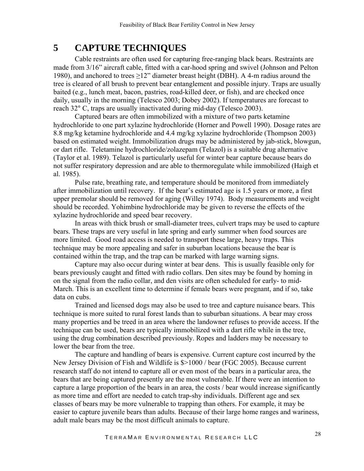# <span id="page-27-0"></span>**5 CAPTURE TECHNIQUES**

Cable restraints are often used for capturing free-ranging black bears. Restraints are made from 3/16" aircraft cable, fitted with a car-hood spring and swivel (Johnson and Pelton 1980), and anchored to trees  $\geq$ 12" diameter breast height (DBH). A 4-m radius around the tree is cleared of all brush to prevent bear entanglement and possible injury. Traps are usually baited (e.g., lunch meat, bacon, pastries, road-killed deer, or fish), and are checked once daily, usually in the morning (Telesco 2003; Dobey 2002). If temperatures are forecast to reach 32° C, traps are usually inactivated during mid-day (Telesco 2003).

Captured bears are often immobilized with a mixture of two parts ketamine hydrochloride to one part xylazine hydrochloride (Horner and Powell 1990). Dosage rates are 8.8 mg/kg ketamine hydrochloride and 4.4 mg/kg xylazine hydrochloride (Thompson 2003) based on estimated weight. Immobilization drugs may be administered by jab-stick, blowgun, or dart rifle. Teletamine hydrochloride/zolazepam (Telazol) is a suitable drug alternative (Taylor et al. 1989). Telazol is particularly useful for winter bear capture because bears do not suffer respiratory depression and are able to thermoregulate while immobilized (Haigh et al. 1985).

Pulse rate, breathing rate, and temperature should be monitored from immediately after immobilization until recovery. If the bear's estimated age is 1.5 years or more, a first upper premolar should be removed for aging (Willey 1974). Body measurements and weight should be recorded. Yohimbine hydrochloride may be given to reverse the effects of the xylazine hydrochloride and speed bear recovery.

In areas with thick brush or small-diameter trees, culvert traps may be used to capture bears. These traps are very useful in late spring and early summer when food sources are more limited. Good road access is needed to transport these large, heavy traps. This technique may be more appealing and safer in suburban locations because the bear is contained within the trap, and the trap can be marked with large warning signs.

Capture may also occur during winter at bear dens. This is usually feasible only for bears previously caught and fitted with radio collars. Den sites may be found by homing in on the signal from the radio collar, and den visits are often scheduled for early- to mid-March. This is an excellent time to determine if female bears were pregnant, and if so, take data on cubs.

Trained and licensed dogs may also be used to tree and capture nuisance bears. This technique is more suited to rural forest lands than to suburban situations. A bear may cross many properties and be treed in an area where the landowner refuses to provide access. If the technique can be used, bears are typically immobilized with a dart rifle while in the tree, using the drug combination described previously. Ropes and ladders may be necessary to lower the bear from the tree.

The capture and handling of bears is expensive. Current capture cost incurred by the New Jersey Division of Fish and Wildlife is \$>1000 / bear (FGC 2005). Because current research staff do not intend to capture all or even most of the bears in a particular area, the bears that are being captured presently are the most vulnerable. If there were an intention to capture a large proportion of the bears in an area, the costs / bear would increase significantly as more time and effort are needed to catch trap-shy individuals. Different age and sex classes of bears may be more vulnerable to trapping than others. For example, it may be easier to capture juvenile bears than adults. Because of their large home ranges and wariness, adult male bears may be the most difficult animals to capture.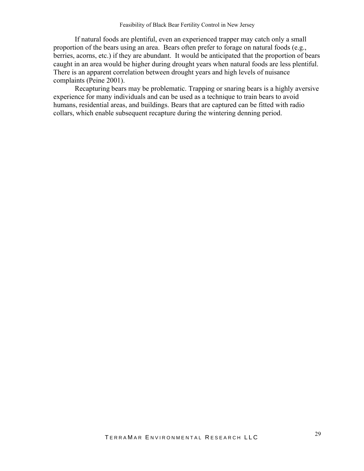If natural foods are plentiful, even an experienced trapper may catch only a small proportion of the bears using an area. Bears often prefer to forage on natural foods (e.g., berries, acorns, etc.) if they are abundant. It would be anticipated that the proportion of bears caught in an area would be higher during drought years when natural foods are less plentiful. There is an apparent correlation between drought years and high levels of nuisance complaints (Peine 2001).

Recapturing bears may be problematic. Trapping or snaring bears is a highly aversive experience for many individuals and can be used as a technique to train bears to avoid humans, residential areas, and buildings. Bears that are captured can be fitted with radio collars, which enable subsequent recapture during the wintering denning period.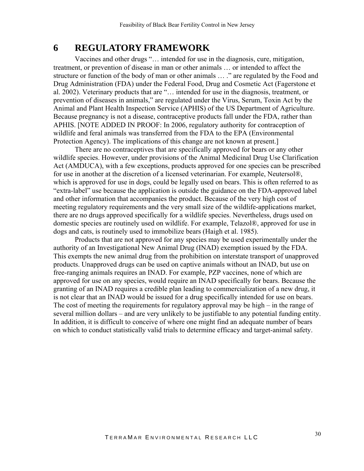## <span id="page-29-0"></span>**6 REGULATORY FRAMEWORK**

Vaccines and other drugs "… intended for use in the diagnosis, cure, mitigation, treatment, or prevention of disease in man or other animals … or intended to affect the structure or function of the body of man or other animals … ." are regulated by the Food and Drug Administration (FDA) under the Federal Food, Drug and Cosmetic Act (Fagerstone et al. 2002). Veterinary products that are "… intended for use in the diagnosis, treatment, or prevention of diseases in animals," are regulated under the Virus, Serum, Toxin Act by the Animal and Plant Health Inspection Service (APHIS) of the US Department of Agriculture. Because pregnancy is not a disease, contraceptive products fall under the FDA, rather than APHIS. [NOTE ADDED IN PROOF: In 2006, regulatory authority for contraception of wildlife and feral animals was transferred from the FDA to the EPA (Environmental Protection Agency). The implications of this change are not known at present.]

There are no contraceptives that are specifically approved for bears or any other wildlife species. However, under provisions of the Animal Medicinal Drug Use Clarification Act (AMDUCA), with a few exceptions, products approved for one species can be prescribed for use in another at the discretion of a licensed veterinarian. For example, Neutersol®, which is approved for use in dogs, could be legally used on bears. This is often referred to as "extra-label" use because the application is outside the guidance on the FDA-approved label and other information that accompanies the product. Because of the very high cost of meeting regulatory requirements and the very small size of the wildlife-applications market, there are no drugs approved specifically for a wildlife species. Nevertheless, drugs used on domestic species are routinely used on wildlife. For example, Telazol®, approved for use in dogs and cats, is routinely used to immobilize bears (Haigh et al. 1985).

Products that are not approved for any species may be used experimentally under the authority of an Investigational New Animal Drug (INAD) exemption issued by the FDA. This exempts the new animal drug from the prohibition on interstate transport of unapproved products. Unapproved drugs can be used on captive animals without an INAD, but use on free-ranging animals requires an INAD. For example, PZP vaccines, none of which are approved for use on any species, would require an INAD specifically for bears. Because the granting of an INAD requires a credible plan leading to commercialization of a new drug, it is not clear that an INAD would be issued for a drug specifically intended for use on bears. The cost of meeting the requirements for regulatory approval may be high – in the range of several million dollars – and are very unlikely to be justifiable to any potential funding entity. In addition, it is difficult to conceive of where one might find an adequate number of bears on which to conduct statistically valid trials to determine efficacy and target-animal safety.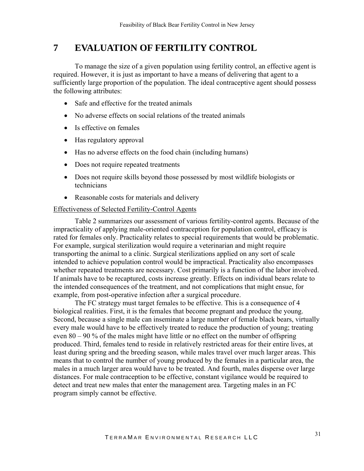# <span id="page-30-0"></span>**7 EVALUATION OF FERTILITY CONTROL**

 To manage the size of a given population using fertility control, an effective agent is required. However, it is just as important to have a means of delivering that agent to a sufficiently large proportion of the population. The ideal contraceptive agent should possess the following attributes:

- Safe and effective for the treated animals
- No adverse effects on social relations of the treated animals
- Is effective on females
- Has regulatory approval
- Has no adverse effects on the food chain (including humans)
- Does not require repeated treatments
- Does not require skills beyond those possessed by most wildlife biologists or technicians
- Reasonable costs for materials and delivery

#### Effectiveness of Selected Fertility-Control Agents

Table 2 summarizes our assessment of various fertility-control agents. Because of the impracticality of applying male-oriented contraception for population control, efficacy is rated for females only. Practicality relates to special requirements that would be problematic. For example, surgical sterilization would require a veterinarian and might require transporting the animal to a clinic. Surgical sterilizations applied on any sort of scale intended to achieve population control would be impractical. Practicality also encompasses whether repeated treatments are necessary. Cost primarily is a function of the labor involved. If animals have to be recaptured, costs increase greatly. Effects on individual bears relate to the intended consequences of the treatment, and not complications that might ensue, for example, from post-operative infection after a surgical procedure.

The FC strategy must target females to be effective. This is a consequence of 4 biological realities. First, it is the females that become pregnant and produce the young. Second, because a single male can inseminate a large number of female black bears, virtually every male would have to be effectively treated to reduce the production of young; treating even 80 – 90 % of the males might have little or no effect on the number of offspring produced. Third, females tend to reside in relatively restricted areas for their entire lives, at least during spring and the breeding season, while males travel over much larger areas. This means that to control the number of young produced by the females in a particular area, the males in a much larger area would have to be treated. And fourth, males disperse over large distances. For male contraception to be effective, constant vigilance would be required to detect and treat new males that enter the management area. Targeting males in an FC program simply cannot be effective.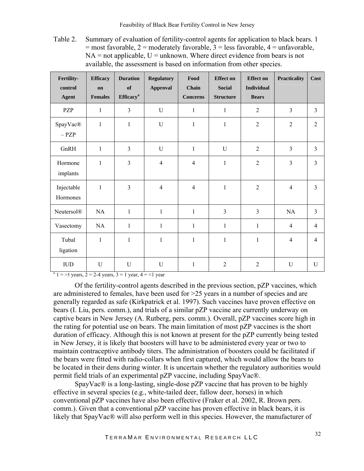Table 2. Summary of evaluation of fertility-control agents for application to black bears. 1  $=$  most favorable, 2 = moderately favorable, 3 = less favorable, 4 = unfavorable,  $NA = not applicable, U = unknown. Where direct evidence from bears is not$ available, the assessment is based on information from other species.

| Fertility-<br>control<br><b>Agent</b> | <b>Efficacy</b><br>on<br><b>Females</b> | <b>Duration</b><br>of<br><b>Efficacy</b> <sup>a</sup> | <b>Regulatory</b><br><b>Approval</b> | Food<br>Chain<br><b>Concerns</b> | <b>Effect</b> on<br><b>Social</b><br><b>Structure</b> | <b>Effect on</b><br><b>Individual</b><br><b>Bears</b> | <b>Practicality</b> | Cost           |
|---------------------------------------|-----------------------------------------|-------------------------------------------------------|--------------------------------------|----------------------------------|-------------------------------------------------------|-------------------------------------------------------|---------------------|----------------|
| PZP                                   | $\mathbf{1}$                            | 3                                                     | U                                    | $\mathbf{1}$                     | $\mathbf{1}$                                          | $\overline{2}$                                        | 3                   | $\overline{3}$ |
| SpayVac®<br>$-$ PZP                   | $\mathbf{1}$                            | $\mathbf{1}$                                          | U                                    | $\mathbf{1}$                     | $\mathbf{1}$                                          | $\overline{2}$                                        | $\overline{2}$      | $\overline{2}$ |
| GnRH                                  | $\mathbf{1}$                            | $\overline{3}$                                        | U                                    | $\mathbf{1}$                     | U                                                     | $\overline{2}$                                        | 3                   | $\overline{3}$ |
| Hormone<br>implants                   | $\mathbf{1}$                            | $\overline{3}$                                        | $\overline{4}$                       | $\overline{4}$                   | $\mathbf{1}$                                          | $\overline{2}$                                        | 3                   | $\mathfrak{Z}$ |
| Injectable<br>Hormones                | $\mathbf{1}$                            | 3                                                     | $\overline{4}$                       | $\overline{4}$                   | $\mathbf{1}$                                          | $\overline{2}$                                        | $\overline{4}$      | $\overline{3}$ |
| <b>Neutersol®</b>                     | NA                                      | $\mathbf{1}$                                          | $\mathbf{1}$                         | $\mathbf{1}$                     | $\overline{3}$                                        | $\overline{3}$                                        | NA                  | $\overline{3}$ |
| Vasectomy                             | NA                                      | $\mathbf{1}$                                          | $\mathbf{1}$                         | $\mathbf{1}$                     | $\mathbf{1}$                                          | $\mathbf{1}$                                          | $\overline{4}$      | $\overline{4}$ |
| Tubal<br>ligation                     | $\mathbf{1}$                            | $\mathbf{1}$                                          | $\mathbf{1}$                         | $\mathbf{1}$                     | $\mathbf{1}$                                          | $\mathbf{1}$                                          | $\overline{4}$      | 4              |
| IUD                                   | $\mathbf U$                             | U                                                     | U                                    | 1                                | $\overline{2}$                                        | $\overline{2}$                                        | U                   | U              |

 $a<sup>a</sup>$  1 = >5 years, 2 = 2-4 years, 3 = 1 year, 4 = <1 year

Of the fertility-control agents described in the previous section, pZP vaccines, which are administered to females, have been used for >25 years in a number of species and are generally regarded as safe (Kirkpatrick et al. 1997). Such vaccines have proven effective on bears (I. Liu, pers. comm.), and trials of a similar pZP vaccine are currently underway on captive bears in New Jersey (A. Rutberg, pers. comm.). Overall, pZP vaccines score high in the rating for potential use on bears. The main limitation of most pZP vaccines is the short duration of efficacy. Although this is not known at present for the pZP currently being tested in New Jersey, it is likely that boosters will have to be administered every year or two to maintain contraceptive antibody titers. The administration of boosters could be facilitated if the bears were fitted with radio-collars when first captured, which would allow the bears to be located in their dens during winter. It is uncertain whether the regulatory authorities would permit field trials of an experimental pZP vaccine, including SpayVac®.

SpayVac® is a long-lasting, single-dose pZP vaccine that has proven to be highly effective in several species (e.g., white-tailed deer, fallow deer, horses) in which conventional pZP vaccines have also been effective (Fraker et al. 2002, R. Brown pers. comm.). Given that a conventional pZP vaccine has proven effective in black bears, it is likely that SpayVac® will also perform well in this species. However, the manufacturer of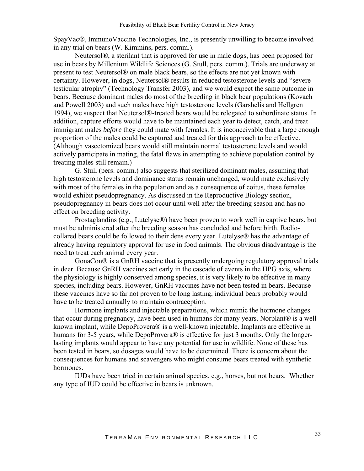SpayVac®, ImmunoVaccine Technologies, Inc., is presently unwilling to become involved in any trial on bears (W. Kimmins, pers. comm.).

Neutersol®, a sterilant that is approved for use in male dogs, has been proposed for use in bears by Millenium Wildlife Sciences (G. Stull, pers. comm.). Trials are underway at present to test Neutersol® on male black bears, so the effects are not yet known with certainty. However, in dogs, Neutersol® results in reduced testosterone levels and "severe testicular atrophy" (Technology Transfer 2003), and we would expect the same outcome in bears. Because dominant males do most of the breeding in black bear populations (Kovach and Powell 2003) and such males have high testosterone levels (Garshelis and Hellgren 1994), we suspect that Neutersol®-treated bears would be relegated to subordinate status. In addition, capture efforts would have to be maintained each year to detect, catch, and treat immigrant males *before* they could mate with females. It is inconceivable that a large enough proportion of the males could be captured and treated for this approach to be effective. (Although vasectomized bears would still maintain normal testosterone levels and would actively participate in mating, the fatal flaws in attempting to achieve population control by treating males still remain.)

G. Stull (pers. comm.) also suggests that sterilized dominant males, assuming that high testosterone levels and dominance status remain unchanged, would mate exclusively with most of the females in the population and as a consequence of coitus, these females would exhibit pseudopregnancy. As discussed in the Reproductive Biology section, pseudopregnancy in bears does not occur until well after the breeding season and has no effect on breeding activity.

Prostaglandins (e.g., Lutelyse®) have been proven to work well in captive bears, but must be administered after the breeding season has concluded and before birth. Radiocollared bears could be followed to their dens every year. Lutelyse® has the advantage of already having regulatory approval for use in food animals. The obvious disadvantage is the need to treat each animal every year.

GonaCon® is a GnRH vaccine that is presently undergoing regulatory approval trials in deer. Because GnRH vaccines act early in the cascade of events in the HPG axis, where the physiology is highly conserved among species, it is very likely to be effective in many species, including bears. However, GnRH vaccines have not been tested in bears. Because these vaccines have so far not proven to be long lasting, individual bears probably would have to be treated annually to maintain contraception.

Hormone implants and injectable preparations, which mimic the hormone changes that occur during pregnancy, have been used in humans for many years. Norplant® is a wellknown implant, while DepoProvera® is a well-known injectable. Implants are effective in humans for 3-5 years, while DepoProvera® is effective for just 3 months. Only the longerlasting implants would appear to have any potential for use in wildlife. None of these has been tested in bears, so dosages would have to be determined. There is concern about the consequences for humans and scavengers who might consume bears treated with synthetic hormones.

IUDs have been tried in certain animal species, e.g., horses, but not bears. Whether any type of IUD could be effective in bears is unknown.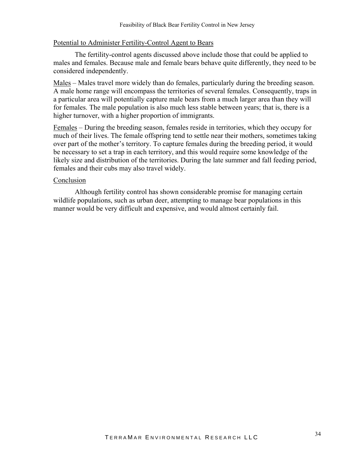#### Potential to Administer Fertility-Control Agent to Bears

The fertility-control agents discussed above include those that could be applied to males and females. Because male and female bears behave quite differently, they need to be considered independently.

Males – Males travel more widely than do females, particularly during the breeding season. A male home range will encompass the territories of several females. Consequently, traps in a particular area will potentially capture male bears from a much larger area than they will for females. The male population is also much less stable between years; that is, there is a higher turnover, with a higher proportion of immigrants.

Females – During the breeding season, females reside in territories, which they occupy for much of their lives. The female offspring tend to settle near their mothers, sometimes taking over part of the mother's territory. To capture females during the breeding period, it would be necessary to set a trap in each territory, and this would require some knowledge of the likely size and distribution of the territories. During the late summer and fall feeding period, females and their cubs may also travel widely.

#### Conclusion

Although fertility control has shown considerable promise for managing certain wildlife populations, such as urban deer, attempting to manage bear populations in this manner would be very difficult and expensive, and would almost certainly fail.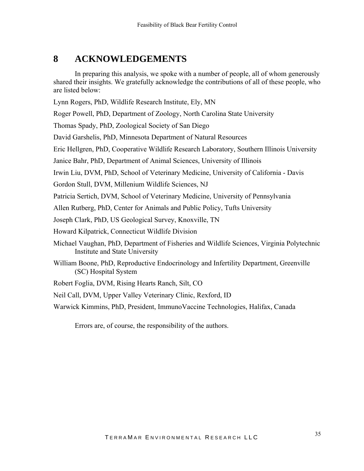# <span id="page-34-0"></span>**8 ACKNOWLEDGEMENTS**

 In preparing this analysis, we spoke with a number of people, all of whom generously shared their insights. We gratefully acknowledge the contributions of all of these people, who are listed below:

Lynn Rogers, PhD, Wildlife Research Institute, Ely, MN

Roger Powell, PhD, Department of Zoology, North Carolina State University

Thomas Spady, PhD, Zoological Society of San Diego

David Garshelis, PhD, Minnesota Department of Natural Resources

Eric Hellgren, PhD, Cooperative Wildlife Research Laboratory, Southern Illinois University

Janice Bahr, PhD, Department of Animal Sciences, University of Illinois

Irwin Liu, DVM, PhD, School of Veterinary Medicine, University of California - Davis

Gordon Stull, DVM, Millenium Wildlife Sciences, NJ

Patricia Sertich, DVM, School of Veterinary Medicine, University of Pennsylvania

Allen Rutberg, PhD, Center for Animals and Public Policy, Tufts University

Joseph Clark, PhD, US Geological Survey, Knoxville, TN

Howard Kilpatrick, Connecticut Wildlife Division

- Michael Vaughan, PhD, Department of Fisheries and Wildlife Sciences, Virginia Polytechnic Institute and State University
- William Boone, PhD, Reproductive Endocrinology and Infertility Department, Greenville (SC) Hospital System
- Robert Foglia, DVM, Rising Hearts Ranch, Silt, CO
- Neil Call, DVM, Upper Valley Veterinary Clinic, Rexford, ID
- Warwick Kimmins, PhD, President, ImmunoVaccine Technologies, Halifax, Canada

Errors are, of course, the responsibility of the authors.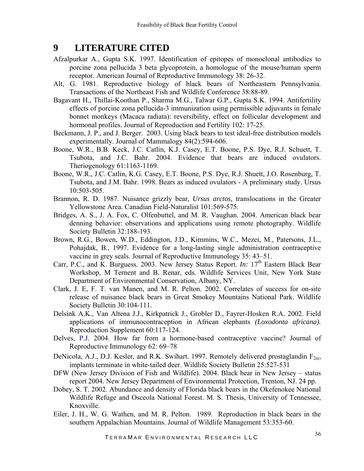# <span id="page-35-0"></span>**9 LITERATURE CITED**

- Afzalpurkar A., Gupta S.K. 1997. Identification of epitopes of monoclonal antibodies to porcine zona pellucida 3 beta glycoprotein, a homologue of the mouse/human sperm receptor. American Journal of Reproductive Immunology 38: 26-32.
- Alt, G. 1981. Reproductive biology of black bears of Northeastern Pennsylvania. Transactions of the Northeast Fish and Wildlife Conference 38:88-89.
- Bagavant H., Thillai-Koothan P., Sharma M.G., Talwar G.P., Gupta S.K. 1994. Antifertility effects of porcine zona pellucida-3 immunization using permissible adjuvants in female bonnet monkeys (Macaca radiata): reversibility, effect on follicular development and hormonal profiles. Journal of Reproduction and Fertility 102: 17-25.
- Beckmann, J. P., and J. Berger. 2003. Using black bears to test ideal-free distribution models experimentally. Journal of Mammalogy 84(2):594-606.
- Boone, W.R., B.B. Keck, J.C. Catlin, K.J. Casey, E.T. Boone, P.S. Dye, R.J. Schuett, T. Tsubota, and J.C. Bahr. 2004. Evidence that bears are induced ovulators. Theriogenology 61:1163-1169.
- Boone, W.R., J.C. Catlin, K.G. Casey, E.T. Boone, P.S. Dye, R.J. Shuett, J.O. Rosenburg, T. Tsubota, and J.M. Bahr. 1998. Bears as induced ovulators - A preliminary study. Ursus 10:503-505.
- Brannon, R. D. 1987. Nuisance grizzly bear, *Ursus arctos*, translocations in the Greater Yellowstone Area. Canadian Field-Naturalist 101:569-575.
- Bridges, A. S., J. A. Fox, C. Olfenbuttel, and M. R. Vaughan. 2004. American black bear denning behavior: observations and applications using remote photography. Wildlife Society Bulletin 32:188-193.
- Brown, R.G., Bowen, W.D., Eddington, J.D., Kimmins, W.C., Mezei, M., Patersons, J.L., Pohajdak, B., 1997. Evidence for a long-lasting single administration contraceptive vaccine in grey seals. Journal of Reproductive Immunology 35: 43–51.
- Carr, P.C., and K. Burguess. 2003. New Jersey Status Report. *In:* 17<sup>th</sup> Eastern Black Bear Workshop, M Ternent and B. Renar, eds. Wildlife Services Unit, New York State Department of Environmental Conservation, Albany, NY.
- Clark, J. E, F. T. van Manen, and M. R. Pelton. 2002. Correlates of success for on-site release of nuisance black bears in Great Smokey Mountains National Park. Wildlife Society Bulletin 30:104-111.
- Delsink A.K., Van Altena J.J., Kirkpatrick J., Grobler D., Fayrer-Hosken R.A. 2002. Field applications of immunocontraception in African elephants *(Loxodonta africana).* Reproduction Supplement 60:117-124.
- Delves, P.J. 2004. How far from a hormone-based contraceptive vaccine? Journal of Reproductive Immunology 62: 69–78
- DeNicola, A.J., D.J. Kesler, and R.K. Swihart. 1997. Remotely delivered prostaglandin  $F_{2\alpha}$ , implants terminate in white-tailed deer. Wildlife Society Bulletin 25:527-531
- DFW (New Jersey Division of Fish and Wildlife). 2004. Black bear in New Jersey status report 2004. New Jersey Department of Environmental Protection, Trenton, NJ. 24 pp.
- Dobey, S. T. 2002. Abundance and density of Florida black bears in the Okefenokee National Wildlife Refuge and Osceola National Forest. M. S. Thesis, University of Tennessee, Knoxville.
- Eiler, J. H., W. G. Wathen, and M. R. Pelton. 1989. Reproduction in black bears in the southern Appalachian Mountains. Journal of Wildlife Management 53:353-60.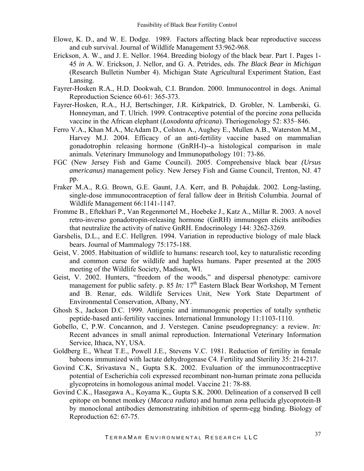- Elowe, K. D., and W. E. Dodge. 1989. Factors affecting black bear reproductive success and cub survival. Journal of Wildlife Management 53:962-968.
- Erickson, A. W., and J. E. Nellor. 1964. Breeding biology of the black bear. Part 1. Pages 1- 45 *in* A. W. Erickson, J. Nellor, and G. A. Petrides, eds. *The Black Bear in Michigan* (Research Bulletin Number 4). Michigan State Agricultural Experiment Station, East Lansing.
- Fayrer-Hosken R.A., H.D. Dookwah, C.I. Brandon. 2000. Immunocontrol in dogs. Animal Reproduction Science 60-61: 365-373.
- Fayrer-Hosken, R.A., H.J, Bertschinger, J.R. Kirkpatrick, D. Grobler, N. Lamberski, G. Honneyman, and T. Ulrich. 1999. Contraceptive potential of the porcine zona pellucida vaccine in the African elephant (*Loxodonta africana*). Theriogenology 52: 835–846.
- Ferro V.A., Khan M.A., McAdam D., Colston A., Aughey E., Mullen A.B., Waterston M.M., Harvey M.J. 2004. Efficacy of an anti-fertility vaccine based on mammalian gonadotrophin releasing hormone (GnRH-I)--a histological comparison in male animals. Veterinary Immunology and Immunopathology 101: 73-86.
- FGC (New Jersey Fish and Game Council). 2005. Comprehensive black bear *(Ursus americanus)* management policy. New Jersey Fish and Game Council, Trenton, NJ. 47 pp.
- Fraker M.A., R.G. Brown, G.E. Gaunt, J.A. Kerr, and B. Pohajdak. 2002. Long-lasting, single-dose immunocontraception of feral fallow deer in British Columbia. Journal of Wildlife Management 66:1141-1147.
- Fromme B., Eftekhari P., Van Regenmortel M., Hoebeke J., Katz A., Millar R. 2003. A novel retro-inverso gonadotropin-releasing hormone (GnRH) immunogen elicits antibodies that neutralize the activity of native GnRH. Endocrinology 144: 3262-3269.
- Garshelis, D.L., and E.C. Hellgren. 1994. Variation in reproductive biology of male black bears. Journal of Mammalogy 75:175-188.
- Geist, V. 2005. Habituation of wildlife to humans: research tool, key to naturalistic recording and common curse for wildlife and hapless humans. Paper presented at the 2005 meeting of the Wildlife Society, Madison, WI.
- Geist, V. 2002. Hunters, "freedom of the woods," and dispersal phenotype: carnivore management for public safety. p. 85 *In:* 17<sup>th</sup> Eastern Black Bear Workshop, M Ternent and B. Renar, eds. Wildlife Services Unit, New York State Department of Environmental Conservation, Albany, NY.
- Ghosh S., Jackson D.C. 1999. Antigenic and immunogenic properties of totally synthetic peptide-based anti-fertility vaccines. International Immunology 11:1103-1110.
- Gobello, C, P.W. Concannon, and J. Verstegen. Canine pseudopregnancy: a review. *In:* Recent advances in small animal reproduction. International Veterinary Information Service, Ithaca, NY, USA.
- Goldberg E., Wheat T.E., Powell J.E., Stevens V.C. 1981. Reduction of fertility in female baboons immunized with lactate dehydrogenase C4. Fertility and Sterility 35: 214-217.
- Govind C.K, Srivastava N., Gupta S.K. 2002. Evaluation of the immunocontraceptive potential of Escherichia coli expressed recombinant non-human primate zona pellucida glycoproteins in homologous animal model. Vaccine 21: 78-88.
- Govind C.K., Hasegawa A., Koyama K., Gupta S.K. 2000. Delineation of a conserved B cell epitope on bonnet monkey (*Macaca radiata*) and human zona pellucida glycoprotein-B by monoclonal antibodies demonstrating inhibition of sperm-egg binding. Biology of Reproduction 62: 67-75.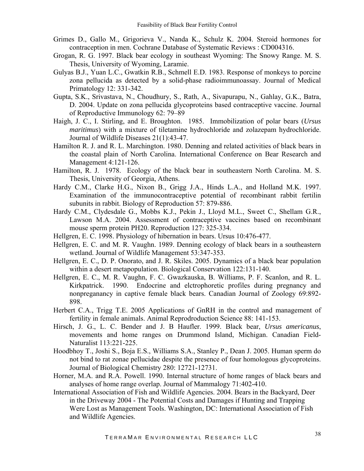- Grimes D., Gallo M., Grigorieva V., Nanda K., Schulz K. 2004. Steroid hormones for contraception in men. Cochrane Database of Systematic Reviews : CD004316.
- Grogan, R. G. 1997. Black bear ecology in southeast Wyoming: The Snowy Range. M. S. Thesis, University of Wyoming, Laramie.
- Gulyas B.J., Yuan L.C., Gwatkin R.B., Schmell E.D. 1983. Response of monkeys to porcine zona pellucida as detected by a solid-phase radioimmunoassay. Journal of Medical Primatology 12: 331-342.
- Gupta, S.K., Srivastava, N., Choudhury, S., Rath, A., Sivapurapu, N., Gahlay, G.K., Batra, D. 2004. Update on zona pellucida glycoproteins based contraceptive vaccine. Journal of Reproductive Immunology 62: 79–89
- Haigh, J. C., I. Stirling, and E. Broughton. 1985. Immobilization of polar bears (*Ursus maritimus*) with a mixture of tiletamine hydrochloride and zolazepam hydrochloride. Journal of Wildlife Diseases 21(1):43-47.
- Hamilton R. J. and R. L. Marchington. 1980. Denning and related activities of black bears in the coastal plain of North Carolina. International Conference on Bear Research and Management 4:121-126.
- Hamilton, R. J. 1978. Ecology of the black bear in southeastern North Carolina. M. S. Thesis, University of Georgia, Athens.
- Hardy C.M., Clarke H.G., Nixon B., Grigg J.A., Hinds L.A., and Holland M.K. 1997. Examination of the immunocontraceptive potential of recombinant rabbit fertilin subunits in rabbit. Biology of Reproduction 57: 879-886.
- Hardy C.M., Clydesdale G., Mobbs K.J., Pekin J., Lloyd M.L., Sweet C., Shellam G.R., Lawson M.A. 2004. Assessment of contraceptive vaccines based on recombinant mouse sperm protein PH20. Reproduction 127: 325-334.
- Hellgren, E. C. 1998. Physiology of hibernation in bears. Ursus 10:476-477.
- Hellgren, E. C. and M. R. Vaughn. 1989. Denning ecology of black bears in a southeastern wetland. Journal of Wildlife Management 53:347-353.
- Hellgren, E. C., D. P. Onorato, and J. R. Skiles. 2005. Dynamics of a black bear population within a desert metapopulation. Biological Conservation 122:131-140.
- Hellgren, E. C., M. R. Vaughn, F. C. Gwazkauska, B. Williams, P. F. Scanlon, and R. L. Kirkpatrick. 1990. Endocrine and elctrophoretic profiles during pregnancy and nonpreganancy in captive female black bears. Canadian Journal of Zoology 69:892- 898.
- Herbert C.A., Trigg T.E. 2005 Applications of GnRH in the control and management of fertility in female animals. Animal Reprodroduction Science 88: 141-153.
- Hirsch, J. G., L. C. Bender and J. B Haufler. 1999. Black bear, *Ursus americanus*, movements and home ranges on Drummond Island, Michigan. Canadian Field-Naturalist 113:221-225.
- Hoodbhoy T., Joshi S., Boja E.S., Williams S.A., Stanley P., Dean J. 2005. Human sperm do not bind to rat zonae pellucidae despite the presence of four homologous glycoproteins. Journal of Biological Chemistry 280: 12721-12731.
- Horner, M.A. and R.A. Powell. 1990. Internal structure of home ranges of black bears and analyses of home range overlap. Journal of Mammalogy 71:402-410.
- International Association of Fish and Wildlife Agencies. 2004. Bears in the Backyard, Deer in the Driveway 2004 - The Potential Costs and Damages if Hunting and Trapping Were Lost as Management Tools. Washington, DC: International Association of Fish and Wildlife Agencies.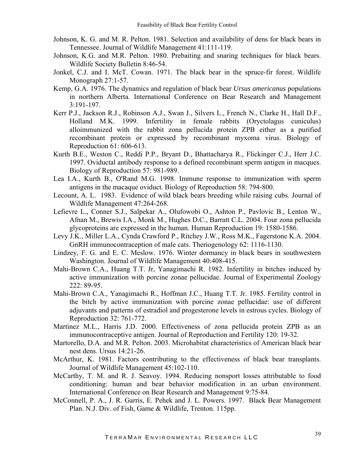- Johnson, K. G. and M. R. Pelton. 1981. Selection and availability of dens for black bears in Tennessee. Journal of Wildlife Management 41:111-119.
- Johnson, K.G. and M.R. Pelton. 1980. Prebaiting and snaring techniques for black bears. Wildlife Society Bulletin 8:46-54.
- Jonkel, C.J. and I. McT. Cowan. 1971. The black bear in the spruce-fir forest. Wildlife Monograph 27:1-57.
- Kemp, G.A. 1976. The dynamics and regulation of black bear *Ursus americanus* populations in northern Alberta. International Conference on Bear Research and Management 3:191-197.
- Kerr P.J., Jackson R.J., Robinson A.J., Swan J., Silvers L., French N., Clarke H., Hall D.F., Holland M.K. 1999. Infertility in female rabbits (Oryctolagus cuniculus) alloimmunized with the rabbit zona pellucida protein ZPB either as a purified recombinant protein or expressed by recombinant myxoma virus. Biology of Reproduction 61: 606-613.
- Kurth B.E., Weston C., Reddi P.P., Bryant D., Bhattacharya R., Flickinger C.J., Herr J.C. 1997. Oviductal antibody response to a defined recombinant sperm antigen in macques. Biology of Reproduction 57: 981-989.
- Lea I.A., Kurth B., O'Rand M.G. 1998. Immune response to immunization with sperm antigens in the macaque oviduct. Biology of Reproduction 58: 794-800.
- Lecount, A. L. 1983. Evidence of wild black bears breeding while raising cubs. Journal of Wildlife Management 47:264-268.
- Lefievre L., Conner S.J., Salpekar A., Olufowobi O., Ashton P., Pavlovic B., Lenton W., Afnan M., Brewis I.A., Monk M., Hughes D.C., Barratt C.L. 2004. Four zona pellucida glycoproteins are expressed in the human. Human Reproduction 19: 1580-1586.
- Levy J.K., Miller L.A., Cynda Crawford P., Ritchey J.W., Ross M.K., Fagerstone K.A. 2004. GnRH immunocontraception of male cats. Theriogenology 62: 1116-1130.
- Lindzey, F. G. and E. C. Meslow. 1976. Winter dormancy in black bears in southwestern Washington. Journal of Wildlife Management 40:408-415.
- Mahi-Brown C.A., Huang T.T. Jr, Yanagimachi R. 1982. Infertility in bitches induced by active immunization with porcine zonae pellucidae. Journal of Experimental Zoology 222: 89-95.
- Mahi-Brown C.A., Yanagimachi R., Hoffman J.C., Huang T.T. Jr. 1985. Fertility control in the bitch by active immunization with porcine zonae pellucidae: use of different adjuvants and patterns of estradiol and progesterone levels in estrous cycles. Biology of Reproduction 32: 761-772.
- Martinez M.L., Harris J.D. 2000. Effectiveness of zona pellucida protein ZPB as an immunocontraceptive antigen. Journal of Reproduction and Fertility 120: 19-32.
- Martorello, D.A. and M.R. Pelton. 2003. Microhabitat characteristics of American black bear nest dens. Ursus 14:21-26.
- McArthur, K. 1981. Factors contributing to the effectiveness of black bear transplants. Journal of Wildlife Management 45:102-110.
- McCarthy, T. M. and R. J. Seavoy. 1994. Reducing nonsport losses attributable to food conditioning: human and bear behavior modification in an urban environment. International Conference on Bear Research and Management 9:75-84.
- McConnell, P. A., J. R. Garris, E. Pehek and J. L. Powers. 1997. Black Bear Management Plan. N.J. Div. of Fish, Game & Wildlife, Trenton. 115pp.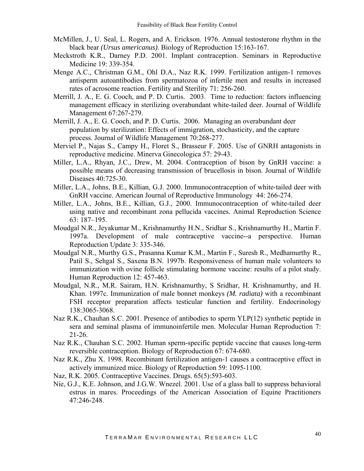- McMillen, J., U. Seal, L. Rogers, and A. Erickson. 1976. Annual testosterone rhythm in the black bear *(Ursus americanus)*. Biology of Reproduction 15:163-167.
- Meckstroth K.R., Darney P.D. 2001. Implant contraception. Seminars in Reproductive Medicine 19: 339-354.
- Menge A.C., Christman G.M., Ohl D.A., Naz R.K. 1999. Fertilization antigen-1 removes antisperm autoantibodies from spermatozoa of infertile men and results in increased rates of acrosome reaction. Fertility and Sterility 71: 256-260.
- Merrill, J. A., E. G. Cooch, and P. D. Curtis. 2003. Time to reduction: factors influencing management efficacy in sterilizing overabundant white-tailed deer. Journal of Wildlife Management 67:267-279.
- Merrill, J. A., E. G. Cooch, and P. D. Curtis. 2006. Managing an overabundant deer population by sterilization: Effects of immigration, stochasticity, and the capture process. Journal of Wildlife Management 70:268-277.
- Merviel P., Najas S., Campy H., Floret S., Brasseur F. 2005. Use of GNRH antagonists in reproductive medicine. Minerva Ginecologica 57: 29-43.
- Miller, L.A., Rhyan, J.C., Drew, M. 2004. Contraception of bison by GnRH vaccine: a possible means of decreasing transmission of brucellosis in bison. Journal of Wildlife Diseases 40:725-30.
- Miller, L.A., Johns, B.E., Killian, G.J. 2000. Immunocontraception of white-tailed deer with GnRH vaccine. American Journal of Reproductive Immunology 44: 266-274.
- Miller, L.A., Johns, B.E., Killian, G.J., 2000. Immunocontraception of white-tailed deer using native and recombinant zona pellucida vaccines. Animal Reproduction Science 63: 187–195.
- Moudgal N.R., Jeyakumar M., Krishnamurthy H.N., Sridhar S., Krishnamurthy H., Martin F. 1997a. Development of male contraceptive vaccine--a perspective. Human Reproduction Update 3: 335-346.
- Moudgal N.R., Murthy G.S., Prasanna Kumar K.M., Martin F., Suresh R., Medhamurthy R., Patil S., Sehgal S., Saxena B.N. 1997b. Responsiveness of human male volunteers to immunization with ovine follicle stimulating hormone vaccine: results of a pilot study. Human Reproduction 12: 457-463.
- Moudgal, N.R., M.R. Sairam, H.N. Krishnamurthy, S Sridhar, H. Krishnamurthy, and H. Khan. 1997c. Immunization of male bonnet monkeys *(M. radiata)* with a recombinant FSH receptor preparation affects testicular function and fertility. Endocrinology 138:3065-3068.
- Naz R.K., Chauhan S.C. 2001. Presence of antibodies to sperm YLP(12) synthetic peptide in sera and seminal plasma of immunoinfertile men. Molecular Human Reproduction 7: 21-26.
- Naz R.K., Chauhan S.C. 2002. Human sperm-specific peptide vaccine that causes long-term reversible contraception. Biology of Reproduction 67: 674-680.
- Naz R.K., Zhu X. 1998. Recombinant fertilization antigen-1 causes a contraceptive effect in actively immunized mice. Biology of Reproduction 59: 1095-1100.
- Naz, R.K. 2005. Contraceptive Vaccines. Drugs. 65(5):593-603.
- Nie, G.J., K.E. Johnson, and J.G.W. Wnezel. 2001. Use of a glass ball to suppress behavioral estrus in mares. Proceedings of the American Association of Equine Practitioners 47:246-248.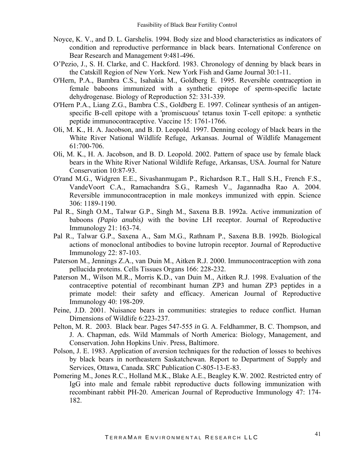- Noyce, K. V., and D. L. Garshelis. 1994. Body size and blood characteristics as indicators of condition and reproductive performance in black bears. International Conference on Bear Research and Management 9:481-496.
- O'Pezio, J., S. H. Clarke, and C. Hackford. 1983. Chronology of denning by black bears in the Catskill Region of New York. New York Fish and Game Journal 30:1-11.
- O'Hern, P.A., Bambra C.S., Isahakia M., Goldberg E. 1995. Reversible contraception in female baboons immunized with a synthetic epitope of sperm-specific lactate dehydrogenase. Biology of Reproduction 52: 331-339.
- O'Hern P.A., Liang Z.G., Bambra C.S., Goldberg E. 1997. Colinear synthesis of an antigenspecific B-cell epitope with a 'promiscuous' tetanus toxin T-cell epitope: a synthetic peptide immunocontraceptive. Vaccine 15: 1761-1766.
- Oli, M. K., H. A. Jacobson, and B. D. Leopold. 1997. Denning ecology of black bears in the White River National Wildlife Refuge, Arkansas. Journal of Wildlife Management 61:700-706.
- Oli, M. K., H. A. Jacobson, and B. D. Leopold. 2002. Pattern of space use by female black bears in the White River National Wildlife Refuge, Arkansas, USA. Journal for Nature Conservation 10:87-93.
- O'rand M.G., Widgren E.E., Sivashanmugam P., Richardson R.T., Hall S.H., French F.S., VandeVoort C.A., Ramachandra S.G., Ramesh V., Jagannadha Rao A. 2004. Reversible immunocontraception in male monkeys immunized with eppin. Science 306: 1189-1190.
- Pal R., Singh O.M., Talwar G.P., Singh M., Saxena B.B. 1992a. Active immunization of baboons *(Papio anubis)* with the bovine LH receptor. Journal of Reproductive Immunology 21: 163-74.
- Pal R., Talwar G.P., Saxena A., Sam M.G., Rathnam P., Saxena B.B. 1992b. Biological actions of monoclonal antibodies to bovine lutropin receptor. Journal of Reproductive Immunology 22: 87-103.
- Paterson M., Jennings Z.A., van Duin M., Aitken R.J. 2000. Immunocontraception with zona pellucida proteins. Cells Tissues Organs 166: 228-232.
- Paterson M., Wilson M.R., Morris K.D., van Duin M., Aitken R.J. 1998. Evaluation of the contraceptive potential of recombinant human ZP3 and human ZP3 peptides in a primate model: their safety and efficacy. American Journal of Reproductive Immunology 40: 198-209.
- Peine, J.D. 2001. Nuisance bears in communities: strategies to reduce conflict. Human Dimensions of Wildlife 6:223-237.
- Pelton, M. R. 2003. Black bear. Pages 547-555 *in* G. A. Feldhammer, B. C. Thompson, and J. A. Chapman, eds. Wild Mammals of North America: Biology, Management, and Conservation. John Hopkins Univ. Press, Baltimore.
- Polson, J. E. 1983. Application of aversion techniques for the reduction of losses to beehives by black bears in northeastern Saskatchewan. Report to Department of Supply and Services, Ottawa, Canada. SRC Publication C-805-13-E-83.
- Pomering M., Jones R.C., Holland M.K., Blake A.E., Beagley K.W. 2002. Restricted entry of IgG into male and female rabbit reproductive ducts following immunization with recombinant rabbit PH-20. American Journal of Reproductive Immunology 47: 174- 182.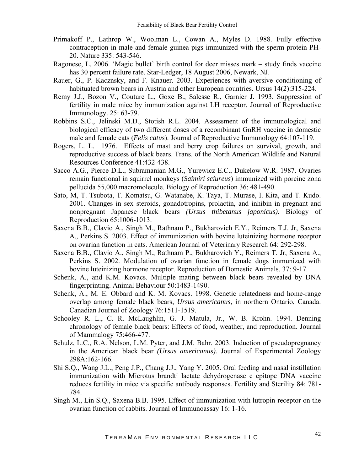- Primakoff P., Lathrop W., Woolman L., Cowan A., Myles D. 1988. Fully effective contraception in male and female guinea pigs immunized with the sperm protein PH-20. Nature 335: 543-546.
- Ragonese, L. 2006. 'Magic bullet' birth control for deer misses mark study finds vaccine has 30 percent failure rate. Star-Ledger, 18 August 2006, Newark, NJ.
- Rauer, G., P. Kacznsky, and F. Knauer. 2003. Experiences with aversive conditioning of habituated brown bears in Austria and other European countries. Ursus 14(2):315-224.
- Remy J.J., Bozon V., Couture L., Goxe B., Salesse R., Garnier J. 1993. Suppression of fertility in male mice by immunization against LH receptor. Journal of Reproductive Immunology. 25: 63-79.
- Robbins S.C., Jelinski M.D., Stotish R.L. 2004. Assessment of the immunological and biological efficacy of two different doses of a recombinant GnRH vaccine in domestic male and female cats (*Felis catus*). Journal of Reproductive Immunology 64:107-119.
- Rogers, L. L. 1976. Effects of mast and berry crop failures on survival, growth, and reproductive success of black bears. Trans. of the North American Wildlife and Natural Resources Conference 41:432-438.
- Sacco A.G., Pierce D.L., Subramanian M.G., Yurewicz E.C., Dukelow W.R. 1987. Ovaries remain functional in squirrel monkeys (*Saimiri sciureus*) immunized with porcine zona pellucida 55,000 macromolecule. Biology of Reproduction 36: 481-490.
- Sato, M, T. Tsubota, T. Komatsu, G. Watanabe, K. Taya, T. Murase, I. Kita, and T. Kudo. 2001. Changes in sex steroids, gonadotropins, prolactin, and inhibin in pregnant and nonpregnant Japanese black bears *(Ursus thibetanus japonicus).* Biology of Reproduction 65:1006-1013.
- Saxena B.B., Clavio A., Singh M., Rathnam P., Bukharovich E.Y., Reimers T.J. Jr, Saxena A., Perkins S. 2003. Effect of immunization with bovine luteinizing hormone receptor on ovarian function in cats. American Journal of Veterinary Research 64: 292-298.
- Saxena B.B., Clavio A., Singh M., Rathnam P., Bukharovich Y., Reimers T. Jr, Saxena A., Perkins S. 2002. Modulation of ovarian function in female dogs immunized with bovine luteinizing hormone receptor. Reproduction of Domestic Animals. 37: 9-17.
- Schenk, A., and K.M. Kovacs. Multiple mating between black bears revealed by DNA fingerprinting. Animal Behaviour 50:1483-1490.
- Schenk, A., M. E. Obbard and K. M. Kovacs. 1998. Genetic relatedness and home-range overlap among female black bears, *Ursus americanus*, in northern Ontario, Canada. Canadian Journal of Zoology 76:1511-1519.
- Schooley R. L., C. R. McLaughlin, G. J. Matula, Jr., W. B. Krohn. 1994. Denning chronology of female black bears: Effects of food, weather, and reproduction. Journal of Mammalogy 75:466-477.
- Schulz, L.C., R.A. Nelson, L.M. Pyter, and J.M. Bahr. 2003. Induction of pseudopregnancy in the American black bear *(Ursus americanus).* Journal of Experimental Zoology 298A:162-166.
- Shi S.Q., Wang J.L., Peng J.P., Chang J.J., Yang Y. 2005. Oral feeding and nasal instillation immunization with Microtus brandti lactate dehydrogenase c epitope DNA vaccine reduces fertility in mice via specific antibody responses. Fertility and Sterility 84: 781- 784.
- Singh M., Lin S.Q., Saxena B.B. 1995. Effect of immunization with lutropin-receptor on the ovarian function of rabbits. Journal of Immunoassay 16: 1-16.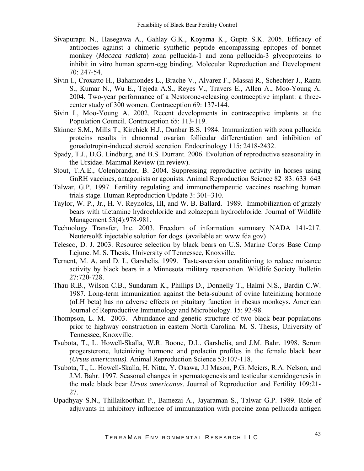- Sivapurapu N., Hasegawa A., Gahlay G.K., Koyama K., Gupta S.K. 2005. Efficacy of antibodies against a chimeric synthetic peptide encompassing epitopes of bonnet monkey (*Macaca radiata*) zona pellucida-1 and zona pellucida-3 glycoproteins to inhibit in vitro human sperm-egg binding. Molecular Reproduction and Development 70: 247-54.
- Sivin I., Croxatto H., Bahamondes L., Brache V., Alvarez F., Massai R., Schechter J., Ranta S., Kumar N., Wu E., Tejeda A.S., Reyes V., Travers E., Allen A., Moo-Young A. 2004. Two-year performance of a Nestorone-releasing contraceptive implant: a threecenter study of 300 women. Contraception 69: 137-144.
- Sivin I., Moo-Young A. 2002. Recent developments in contraceptive implants at the Population Council. Contraception 65: 113-119.
- Skinner S.M., Mills T., Kirchick H.J., Dunbar B.S. 1984. Immunization with zona pellucida proteins results in abnormal ovarian follicular differentiation and inhibition of gonadotropin-induced steroid secretion. Endocrinology 115: 2418-2432.
- Spady, T.J., D.G. Lindburg, and B.S. Durrant. 2006. Evolution of reproductive seasonality in the Ursidae. Mammal Review (in review).
- Stout, T.A.E., Colenbrander, B. 2004. Suppressing reproductive activity in horses using GnRH vaccines, antagonists or agonists. Animal Reproduction Science 82–83: 633–643
- Talwar, G.P. 1997. Fertility regulating and immunotherapeutic vaccines reaching human trials stage. Human Reproduction Update 3: 301–310.
- Taylor, W. P., Jr., H. V. Reynolds, III, and W. B. Ballard. 1989. Immobilization of grizzly bears with tiletamine hydrochloride and zolazepam hydrochloride. Journal of Wildlife Management 53(4):978-981.
- Technology Transfer, Inc. 2003. Freedom of information summary NADA 141-217. Neutersol® injectable solution for dogs. (available at: www.fda.gov)
- Telesco, D. J. 2003. Resource selection by black bears on U.S. Marine Corps Base Camp Lejune. M. S. Thesis, University of Tennessee, Knoxville.
- Ternent, M. A. and D. L. Garshelis. 1999. Taste-aversion conditioning to reduce nuisance activity by black bears in a Minnesota military reservation. Wildlife Society Bulletin 27:720-728.
- Thau R.B., Wilson C.B., Sundaram K., Phillips D., Donnelly T., Halmi N.S., Bardin C.W. 1987. Long-term immunization against the beta-subunit of ovine luteinizing hormone (oLH beta) has no adverse effects on pituitary function in rhesus monkeys. American Journal of Reproductive Immunology and Microbiology. 15: 92-98.
- Thompson, L. M. 2003. Abundance and genetic structure of two black bear populations prior to highway construction in eastern North Carolina. M. S. Thesis, University of Tennessee, Knoxville.
- Tsubota, T., L. Howell-Skalla, W.R. Boone, D.L. Garshelis, and J.M. Bahr. 1998. Serum progersterone, luteinizing hormone and prolactin profiles in the female black bear *(Ursus americanus).* Animal Reproduction Science 53:107-118.
- Tsubota, T., L. Howell-Skalla, H. Nitta, Y. Osawa, J.I Mason, P.G. Meiers, R.A. Nelson, and J.M. Bahr. 1997. Seasonal changes in spermatogenesis and testicular steroidogenesis in the male black bear *Ursus americanus*. Journal of Reproduction and Fertility 109:21- 27.
- Upadhyay S.N., Thillaikoothan P., Bamezai A., Jayaraman S., Talwar G.P. 1989. Role of adjuvants in inhibitory influence of immunization with porcine zona pellucida antigen